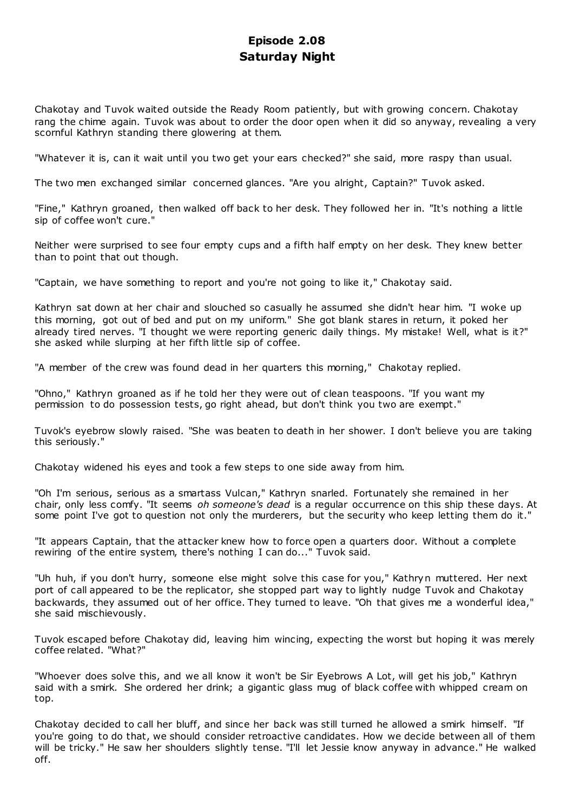# **Episode 2.08 Saturday Night**

Chakotay and Tuvok waited outside the Ready Room patiently, but with growing concern. Chakotay rang the chime again. Tuvok was about to order the door open when it did so anyway, revealing a very scornful Kathryn standing there glowering at them.

"Whatever it is, can it wait until you two get your ears checked?" she said, more raspy than usual.

The two men exchanged similar concerned glances. "Are you alright, Captain?" Tuvok asked.

"Fine," Kathryn groaned, then walked off back to her desk. They followed her in. "It's nothing a little sip of coffee won't cure."

Neither were surprised to see four empty cups and a fifth half empty on her desk. They knew better than to point that out though.

"Captain, we have something to report and you're not going to like it," Chakotay said.

Kathryn sat down at her chair and slouched so casually he assumed she didn't hear him. "I woke up this morning, got out of bed and put on my uniform." She got blank stares in return, it poked her already tired nerves. "I thought we were reporting generic daily things. My mistake! Well, what is it?" she asked while slurping at her fifth little sip of coffee.

"A member of the crew was found dead in her quarters this morning," Chakotay replied.

"Ohno," Kathryn groaned as if he told her they were out of clean teaspoons. "If you want my permission to do possession tests, go right ahead, but don't think you two are exempt."

Tuvok's eyebrow slowly raised. "She was beaten to death in her shower. I don't believe you are taking this seriously."

Chakotay widened his eyes and took a few steps to one side away from him.

"Oh I'm serious, serious as a smartass Vulcan," Kathryn snarled. Fortunately she remained in her chair, only less comfy. "It seems *oh someone's dead* is a regular occurrence on this ship these days. At some point I've got to question not only the murderers, but the security who keep letting them do it."

"It appears Captain, that the attacker knew how to force open a quarters door. Without a complete rewiring of the entire system, there's nothing I can do..." Tuvok said.

"Uh huh, if you don't hurry, someone else might solve this case for you," Kathryn muttered. Her next port of call appeared to be the replicator, she stopped part way to lightly nudge Tuvok and Chakotay backwards, they assumed out of her office. They turned to leave. "Oh that gives me a wonderful idea," she said mischievously.

Tuvok escaped before Chakotay did, leaving him wincing, expecting the worst but hoping it was merely coffee related. "What?"

"Whoever does solve this, and we all know it won't be Sir Eyebrows A Lot, will get his job," Kathryn said with a smirk. She ordered her drink; a gigantic glass mug of black coffee with whipped cream on top.

Chakotay decided to call her bluff, and since her back was still turned he allowed a smirk himself. "If you're going to do that, we should consider retroactive candidates. How we decide between all of them will be tricky." He saw her shoulders slightly tense. "I'll let Jessie know anyway in advance." He walked off.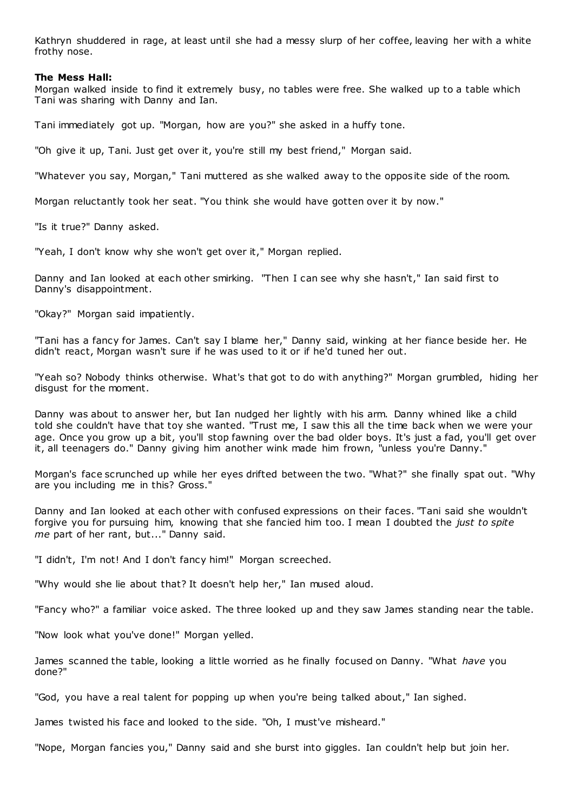Kathryn shuddered in rage, at least until she had a messy slurp of her coffee, leaving her with a white frothy nose.

### **The Mess Hall:**

Morgan walked inside to find it extremely busy, no tables were free. She walked up to a table which Tani was sharing with Danny and Ian.

Tani immediately got up. "Morgan, how are you?" she asked in a huffy tone.

"Oh give it up, Tani. Just get over it, you're still my best friend," Morgan said.

"Whatever you say, Morgan," Tani muttered as she walked away to the opposite side of the room.

Morgan reluctantly took her seat. "You think she would have gotten over it by now."

"Is it true?" Danny asked.

"Yeah, I don't know why she won't get over it," Morgan replied.

Danny and Ian looked at each other smirking. "Then I can see why she hasn't," Ian said first to Danny's disappointment.

"Okay?" Morgan said impatiently.

"Tani has a fancy for James. Can't say I blame her," Danny said, winking at her fiance beside her. He didn't react, Morgan wasn't sure if he was used to it or if he'd tuned her out.

"Yeah so? Nobody thinks otherwise. What's that got to do with anything?" Morgan grumbled, hiding her disgust for the moment.

Danny was about to answer her, but Ian nudged her lightly with his arm. Danny whined like a child told she couldn't have that toy she wanted. "Trust me, I saw this all the time back when we were your age. Once you grow up a bit, you'll stop fawning over the bad older boys. It's just a fad, you'll get over it, all teenagers do." Danny giving him another wink made him frown, "unless you're Danny."

Morgan's face scrunched up while her eyes drifted between the two. "What?" she finally spat out. "Why are you including me in this? Gross."

Danny and Ian looked at each other with confused expressions on their faces. "Tani said she wouldn't forgive you for pursuing him, knowing that she fancied him too. I mean I doubted the *just to spite me* part of her rant, but..." Danny said.

"I didn't, I'm not! And I don't fancy him!" Morgan screeched.

"Why would she lie about that? It doesn't help her," Ian mused aloud.

"Fancy who?" a familiar voice asked. The three looked up and they saw James standing near the table.

"Now look what you've done!" Morgan yelled.

James scanned the table, looking a little worried as he finally focused on Danny. "What *have* you done?"

"God, you have a real talent for popping up when you're being talked about," Ian sighed.

James twisted his face and looked to the side. "Oh, I must've misheard."

"Nope, Morgan fancies you," Danny said and she burst into giggles. Ian couldn't help but join her.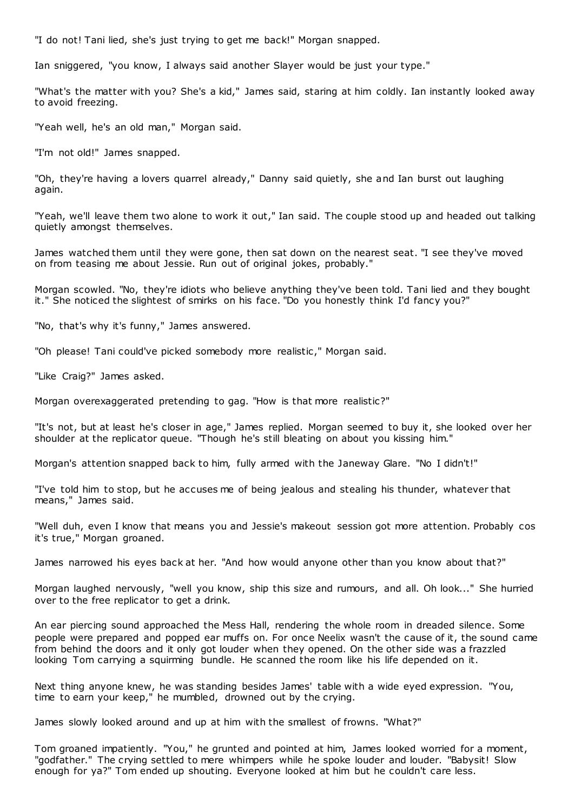"I do not! Tani lied, she's just trying to get me back!" Morgan snapped.

Ian sniggered, "you know, I always said another Slayer would be just your type."

"What's the matter with you? She's a kid," James said, staring at him coldly. Ian instantly looked away to avoid freezing.

"Yeah well, he's an old man," Morgan said.

"I'm not old!" James snapped.

"Oh, they're having a lovers quarrel already," Danny said quietly, she and Ian burst out laughing again.

"Yeah, we'll leave them two alone to work it out," Ian said. The couple stood up and headed out talking quietly amongst themselves.

James watched them until they were gone, then sat down on the nearest seat. "I see they've moved on from teasing me about Jessie. Run out of original jokes, probably."

Morgan scowled. "No, they're idiots who believe anything they've been told. Tani lied and they bought it." She noticed the slightest of smirks on his face. "Do you honestly think I'd fancy you?"

"No, that's why it's funny," James answered.

"Oh please! Tani could've picked somebody more realistic," Morgan said.

"Like Craig?" James asked.

Morgan overexaggerated pretending to gag. "How is that more realistic?"

"It's not, but at least he's closer in age," James replied. Morgan seemed to buy it, she looked over her shoulder at the replicator queue. "Though he's still bleating on about you kissing him."

Morgan's attention snapped back to him, fully armed with the Janeway Glare. "No I didn't!"

"I've told him to stop, but he accuses me of being jealous and stealing his thunder, whatever that means," James said.

"Well duh, even I know that means you and Jessie's makeout session got more attention. Probably cos it's true," Morgan groaned.

James narrowed his eyes back at her. "And how would anyone other than you know about that?"

Morgan laughed nervously, "well you know, ship this size and rumours, and all. Oh look..." She hurried over to the free replicator to get a drink.

An ear piercing sound approached the Mess Hall, rendering the whole room in dreaded silence. Some people were prepared and popped ear muffs on. For once Neelix wasn't the cause of it, the sound came from behind the doors and it only got louder when they opened. On the other side was a frazzled looking Tom carrying a squirming bundle. He scanned the room like his life depended on it.

Next thing anyone knew, he was standing besides James' table with a wide eyed expression. "You, time to earn your keep," he mumbled, drowned out by the crying.

James slowly looked around and up at him with the smallest of frowns. "What?"

Tom groaned impatiently. "You," he grunted and pointed at him, James looked worried for a moment, "godfather." The crying settled to mere whimpers while he spoke louder and louder. "Babysit! Slow enough for ya?" Tom ended up shouting. Everyone looked at him but he couldn't care less.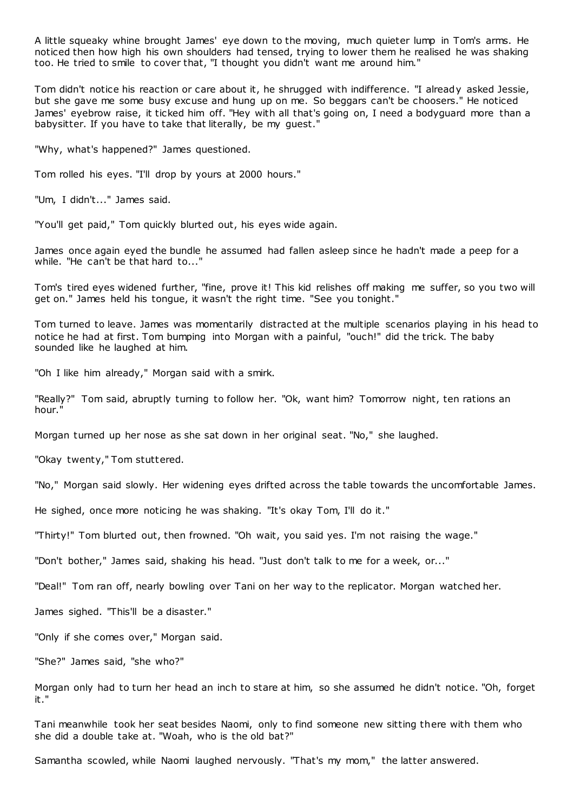A little squeaky whine brought James' eye down to the moving, much quieter lump in Tom's arms. He noticed then how high his own shoulders had tensed, trying to lower them he realised he was shaking too. He tried to smile to cover that, "I thought you didn't want me around him."

Tom didn't notice his reaction or care about it, he shrugged with indifference. "I already asked Jessie, but she gave me some busy excuse and hung up on me. So beggars can't be choosers." He noticed James' eyebrow raise, it ticked him off. "Hey with all that's going on, I need a bodyguard more than a babysitter. If you have to take that literally, be my guest."

"Why, what's happened?" James questioned.

Tom rolled his eyes. "I'll drop by yours at 2000 hours."

"Um, I didn't..." James said.

"You'll get paid," Tom quickly blurted out, his eyes wide again.

James once again eyed the bundle he assumed had fallen asleep since he hadn't made a peep for a while. "He can't be that hard to..."

Tom's tired eyes widened further, "fine, prove it! This kid relishes off making me suffer, so you two will get on." James held his tongue, it wasn't the right time. "See you tonight."

Tom turned to leave. James was momentarily distracted at the multiple scenarios playing in his head to notice he had at first. Tom bumping into Morgan with a painful, "ouch!" did the trick. The baby sounded like he laughed at him.

"Oh I like him already," Morgan said with a smirk.

"Really?" Tom said, abruptly turning to follow her. "Ok, want him? Tomorrow night, ten rations an hour."

Morgan turned up her nose as she sat down in her original seat. "No," she laughed.

"Okay twenty," Tom stuttered.

"No," Morgan said slowly. Her widening eyes drifted across the table towards the uncomfortable James.

He sighed, once more noticing he was shaking. "It's okay Tom, I'll do it."

"Thirty!" Tom blurted out, then frowned. "Oh wait, you said yes. I'm not raising the wage."

"Don't bother," James said, shaking his head. "Just don't talk to me for a week, or..."

"Deal!" Tom ran off, nearly bowling over Tani on her way to the replicator. Morgan watched her.

James sighed. "This'll be a disaster."

"Only if she comes over," Morgan said.

"She?" James said, "she who?"

Morgan only had to turn her head an inch to stare at him, so she assumed he didn't notice. "Oh, forget it."

Tani meanwhile took her seat besides Naomi, only to find someone new sitting there with them who she did a double take at. "Woah, who is the old bat?"

Samantha scowled, while Naomi laughed nervously. "That's my mom," the latter answered.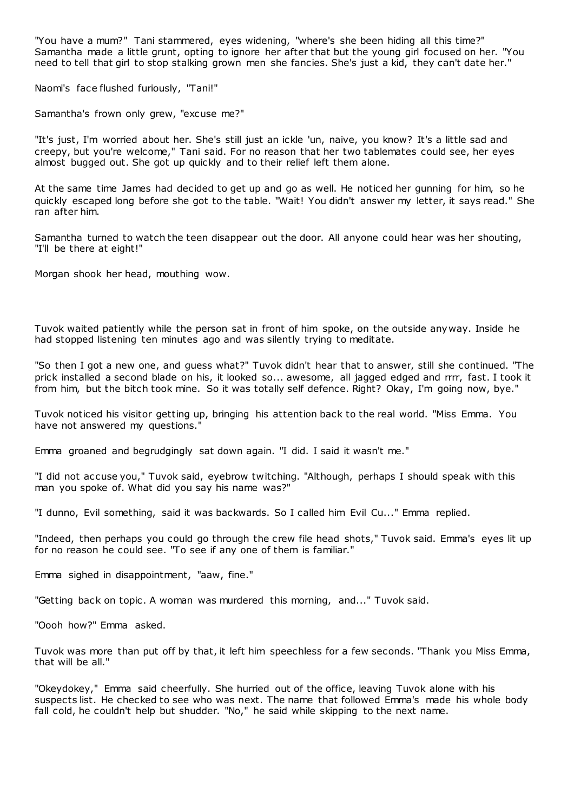"You have a mum?" Tani stammered, eyes widening, "where's she been hiding all this time?" Samantha made a little grunt, opting to ignore her after that but the young girl focused on her. "You need to tell that girl to stop stalking grown men she fancies. She's just a kid, they can't date her."

Naomi's face flushed furiously, "Tani!"

Samantha's frown only grew, "excuse me?"

"It's just, I'm worried about her. She's still just an ickle 'un, naive, you know? It's a little sad and creepy, but you're welcome," Tani said. For no reason that her two tablemates could see, her eyes almost bugged out. She got up quickly and to their relief left them alone.

At the same time James had decided to get up and go as well. He noticed her gunning for him, so he quickly escaped long before she got to the table. "Wait! You didn't answer my letter, it says read." She ran after him.

Samantha turned to watch the teen disappear out the door. All anyone could hear was her shouting, "I'll be there at eight!"

Morgan shook her head, mouthing wow.

Tuvok waited patiently while the person sat in front of him spoke, on the outside any way. Inside he had stopped listening ten minutes ago and was silently trying to meditate.

"So then I got a new one, and guess what?" Tuvok didn't hear that to answer, still she continued. "The prick installed a second blade on his, it looked so... awesome, all jagged edged and rrrr, fast. I took it from him, but the bitch took mine. So it was totally self defence. Right? Okay, I'm going now, bye."

Tuvok noticed his visitor getting up, bringing his attention back to the real world. "Miss Emma. You have not answered my questions."

Emma groaned and begrudgingly sat down again. "I did. I said it wasn't me."

"I did not accuse you," Tuvok said, eyebrow twitching. "Although, perhaps I should speak with this man you spoke of. What did you say his name was?"

"I dunno, Evil something, said it was backwards. So I called him Evil Cu..." Emma replied.

"Indeed, then perhaps you could go through the crew file head shots," Tuvok said. Emma's eyes lit up for no reason he could see. "To see if any one of them is familiar."

Emma sighed in disappointment, "aaw, fine."

"Getting back on topic . A woman was murdered this morning, and..." Tuvok said.

"Oooh how?" Emma asked.

Tuvok was more than put off by that, it left him speechless for a few seconds. "Thank you Miss Emma, that will be all."

"Okeydokey," Emma said cheerfully. She hurried out of the office, leaving Tuvok alone with his suspects list. He checked to see who was next. The name that followed Emma's made his whole body fall cold, he couldn't help but shudder. "No," he said while skipping to the next name.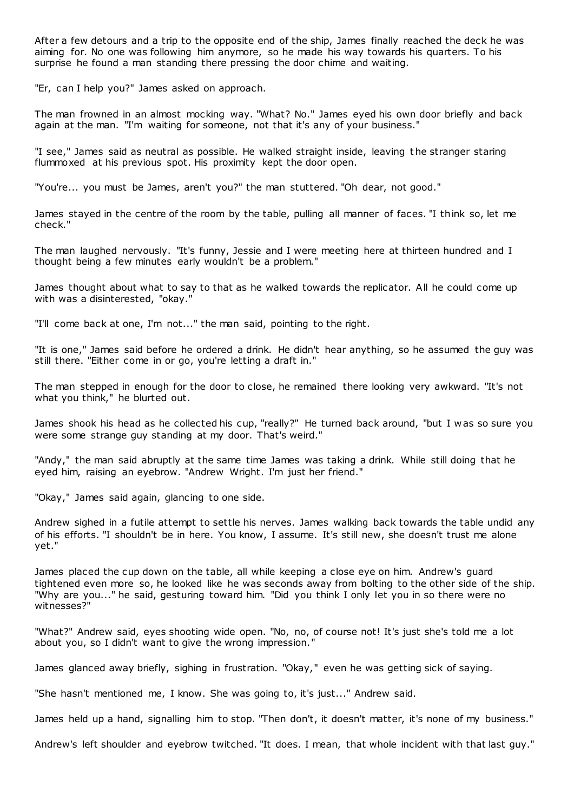After a few detours and a trip to the opposite end of the ship, James finally reached the deck he was aiming for. No one was following him anymore, so he made his way towards his quarters. To his surprise he found a man standing there pressing the door chime and waiting.

"Er, can I help you?" James asked on approach.

The man frowned in an almost mocking way. "What? No." James eyed his own door briefly and back again at the man. "I'm waiting for someone, not that it's any of your business."

"I see," James said as neutral as possible. He walked straight inside, leaving t he stranger staring flummoxed at his previous spot. His proximity kept the door open.

"You're... you must be James, aren't you?" the man stuttered. "Oh dear, not good."

James stayed in the centre of the room by the table, pulling all manner of faces. "I think so, let me check."

The man laughed nervously. "It's funny, Jessie and I were meeting here at thirteen hundred and I thought being a few minutes early wouldn't be a problem."

James thought about what to say to that as he walked towards the replicator. All he could come up with was a disinterested, "okay."

"I'll come back at one, I'm not..." the man said, pointing to the right.

"It is one," James said before he ordered a drink. He didn't hear anything, so he assumed the guy was still there. "Either come in or go, you're letting a draft in."

The man stepped in enough for the door to close, he remained there looking very awkward. "It's not what you think," he blurted out.

James shook his head as he collected his cup, "really?" He turned back around, "but I w as so sure you were some strange guy standing at my door. That's weird."

"Andy," the man said abruptly at the same time James was taking a drink. While still doing that he eyed him, raising an eyebrow. "Andrew Wright. I'm just her friend."

"Okay," James said again, glancing to one side.

Andrew sighed in a futile attempt to settle his nerves. James walking back towards the table undid any of his efforts. "I shouldn't be in here. You know, I assume. It's still new, she doesn't trust me alone yet."

James placed the cup down on the table, all while keeping a close eye on him. Andrew's guard tightened even more so, he looked like he was seconds away from bolting to the other side of the ship. "Why are you..." he said, gesturing toward him. "Did you think I only let you in so there were no witnesses?"

"What?" Andrew said, eyes shooting wide open. "No, no, of course not! It's just she's told me a lot about you, so I didn't want to give the wrong impression."

James glanced away briefly, sighing in frustration. "Okay," even he was getting sick of saying.

"She hasn't mentioned me, I know. She was going to, it's just..." Andrew said.

James held up a hand, signalling him to stop. "Then don't, it doesn't matter, it's none of my business."

Andrew's left shoulder and eyebrow twitched. "It does. I mean, that whole incident with that last guy."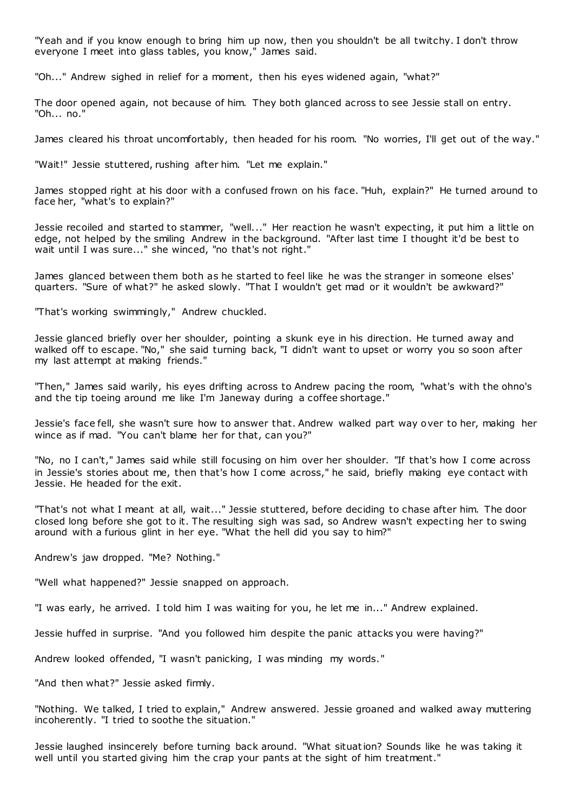"Yeah and if you know enough to bring him up now, then you shouldn't be all twitchy. I don't throw everyone I meet into glass tables, you know," James said.

"Oh..." Andrew sighed in relief for a moment, then his eyes widened again, "what?"

The door opened again, not because of him. They both glanced across to see Jessie stall on entry. "Oh... no."

James cleared his throat uncomfortably, then headed for his room. "No worries, I'll get out of the way."

"Wait!" Jessie stuttered, rushing after him. "Let me explain."

James stopped right at his door with a confused frown on his face. "Huh, explain?" He turned around to face her, "what's to explain?"

Jessie recoiled and started to stammer, "well..." Her reaction he wasn't expecting, it put him a little on edge, not helped by the smiling Andrew in the background. "After last time I thought it'd be best to wait until I was sure..." she winced, "no that's not right."

James glanced between them both as he started to feel like he was the stranger in someone elses' quarters. "Sure of what?" he asked slowly. "That I wouldn't get mad or it wouldn't be awkward?"

"That's working swimmingly," Andrew chuckled.

Jessie glanced briefly over her shoulder, pointing a skunk eye in his direction. He turned away and walked off to escape. "No," she said turning back, "I didn't want to upset or worry you so soon after my last attempt at making friends."

"Then," James said warily, his eyes drifting across to Andrew pacing the room, "what's with the ohno's and the tip toeing around me like I'm Janeway during a coffee shortage."

Jessie's face fell, she wasn't sure how to answer that. Andrew walked part way over to her, making her wince as if mad. "You can't blame her for that, can you?"

"No, no I can't," James said while still focusing on him over her shoulder. "If that's how I come across in Jessie's stories about me, then that's how I come across," he said, briefly making eye contact with Jessie. He headed for the exit.

"That's not what I meant at all, wait..." Jessie stuttered, before deciding to chase after him. The door closed long before she got to it. The resulting sigh was sad, so Andrew wasn't expecting her to swing around with a furious glint in her eye. "What the hell did you say to him?"

Andrew's jaw dropped. "Me? Nothing."

"Well what happened?" Jessie snapped on approach.

"I was early, he arrived. I told him I was waiting for you, he let me in..." Andrew explained.

Jessie huffed in surprise. "And you followed him despite the panic attacks you were having?"

Andrew looked offended, "I wasn't panicking, I was minding my words."

"And then what?" Jessie asked firmly.

"Nothing. We talked, I tried to explain," Andrew answered. Jessie groaned and walked away muttering incoherently. "I tried to soothe the situation."

Jessie laughed insincerely before turning back around. "What situation? Sounds like he was taking it well until you started giving him the crap your pants at the sight of him treatment."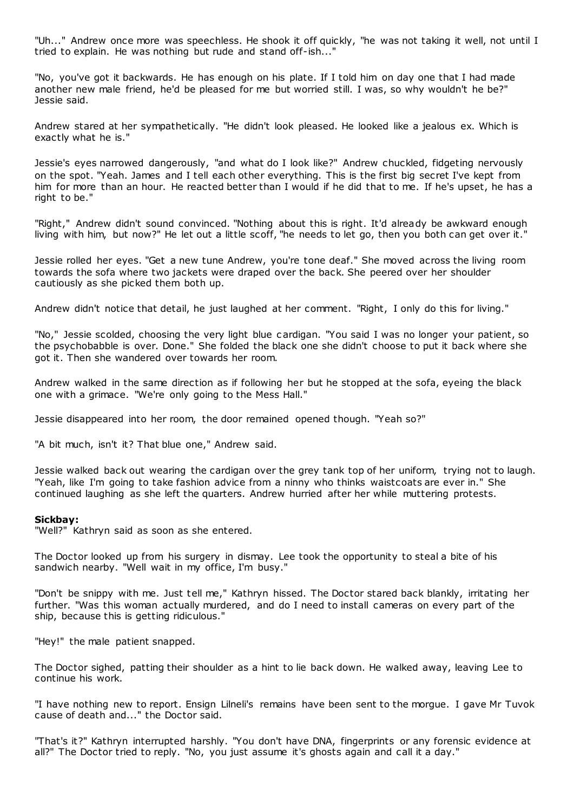"Uh..." Andrew once more was speechless. He shook it off quickly, "he was not taking it well, not until I tried to explain. He was nothing but rude and stand off-ish..."

"No, you've got it backwards. He has enough on his plate. If I told him on day one that I had made another new male friend, he'd be pleased for me but worried still. I was, so why wouldn't he be?" Jessie said.

Andrew stared at her sympathetically. "He didn't look pleased. He looked like a jealous ex. Which is exactly what he is."

Jessie's eyes narrowed dangerously, "and what do I look like?" Andrew chuckled, fidgeting nervously on the spot. "Yeah. James and I tell each other everything. This is the first big secret I've kept from him for more than an hour. He reacted better than I would if he did that to me. If he's upset, he has a right to be."

"Right," Andrew didn't sound convinced. "Nothing about this is right. It'd already be awkward enough living with him, but now?" He let out a little scoff, "he needs to let go, then you both can get over it."

Jessie rolled her eyes. "Get a new tune Andrew, you're tone deaf." She moved across the living room towards the sofa where two jackets were draped over the back. She peered over her shoulder cautiously as she picked them both up.

Andrew didn't notice that detail, he just laughed at her comment. "Right, I only do this for living."

"No," Jessie scolded, choosing the very light blue c ardigan. "You said I was no longer your patient, so the psychobabble is over. Done." She folded the black one she didn't choose to put it back where she got it. Then she wandered over towards her room.

Andrew walked in the same direction as if following her but he stopped at the sofa, eyeing the black one with a grimace. "We're only going to the Mess Hall."

Jessie disappeared into her room, the door remained opened though. "Yeah so?"

"A bit much, isn't it? That blue one," Andrew said.

Jessie walked back out wearing the cardigan over the grey tank top of her uniform, trying not to laugh. "Yeah, like I'm going to take fashion advice from a ninny who thinks waistcoats are ever in." She continued laughing as she left the quarters. Andrew hurried after her while muttering protests.

### **Sickbay:**

"Well?" Kathryn said as soon as she entered.

The Doctor looked up from his surgery in dismay. Lee took the opportunity to steal a bite of his sandwich nearby. "Well wait in my office, I'm busy."

"Don't be snippy with me. Just tell me," Kathryn hissed. The Doctor stared back blankly, irritating her further. "Was this woman actually murdered, and do I need to install cameras on every part of the ship, because this is getting ridiculous."

"Hey!" the male patient snapped.

The Doctor sighed, patting their shoulder as a hint to lie back down. He walked away, leaving Lee to continue his work.

"I have nothing new to report. Ensign Lilneli's remains have been sent to the morgue. I gave Mr Tuvok cause of death and..." the Doctor said.

"That's it?" Kathryn interrupted harshly. "You don't have DNA, fingerprints or any forensic evidence at all?" The Doctor tried to reply. "No, you just assume it's ghosts again and call it a day."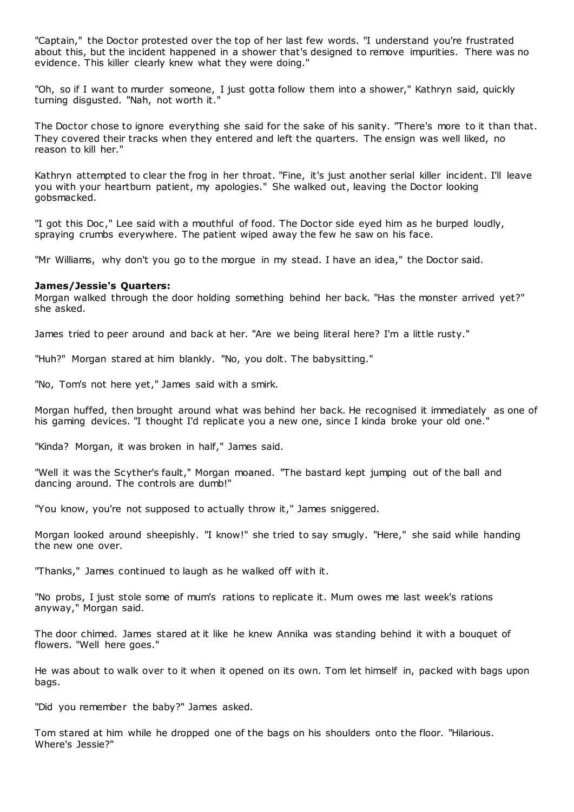"Captain," the Doctor protested over the top of her last few words. "I understand you're frustrated about this, but the incident happened in a shower that's designed to remove impurities. There was no evidence. This killer clearly knew what they were doing."

"Oh, so if I want to murder someone, I just gotta follow them into a shower," Kathryn said, quickly turning disgusted. "Nah, not worth it."

The Doctor chose to ignore everything she said for the sake of his sanity. "There's more to it than that. They covered their tracks when they entered and left the quarters. The ensign was well liked, no reason to kill her."

Kathryn attempted to clear the frog in her throat. "Fine, it's just another serial killer incident. I'll leave you with your heartburn patient, my apologies." She walked out, leaving the Doctor looking gobsmacked.

"I got this Doc ," Lee said with a mouthful of food. The Doctor side eyed him as he burped loudly, spraying crumbs everywhere. The patient wiped away the few he saw on his face.

"Mr Williams, why don't you go to the morgue in my stead. I have an idea," the Doctor said.

### **James/Jessie's Quarters:**

Morgan walked through the door holding something behind her back. "Has the monster arrived yet?" she asked.

James tried to peer around and back at her. "Are we being literal here? I'm a little rusty."

"Huh?" Morgan stared at him blankly. "No, you dolt. The babysitting."

"No, Tom's not here yet," James said with a smirk.

Morgan huffed, then brought around what was behind her back. He recognised it immediately as one of his gaming devices. "I thought I'd replicate you a new one, since I kinda broke your old one."

"Kinda? Morgan, it was broken in half," James said.

"Well it was the Scyther's fault," Morgan moaned. "The bastard kept jumping out of the ball and dancing around. The controls are dumb!"

"You know, you're not supposed to actually throw it," James sniggered.

Morgan looked around sheepishly. "I know!" she tried to say smugly. "Here," she said while handing the new one over.

"Thanks," James continued to laugh as he walked off with it.

"No probs, I just stole some of mum's rations to replicate it. Mum owes me last week's rations anyway," Morgan said.

The door chimed. James stared at it like he knew Annika was standing behind it with a bouquet of flowers. "Well here goes."

He was about to walk over to it when it opened on its own. Tom let himself in, packed with bags upon bags.

"Did you remember the baby?" James asked.

Tom stared at him while he dropped one of the bags on his shoulders onto the floor. "Hilarious. Where's Jessie?"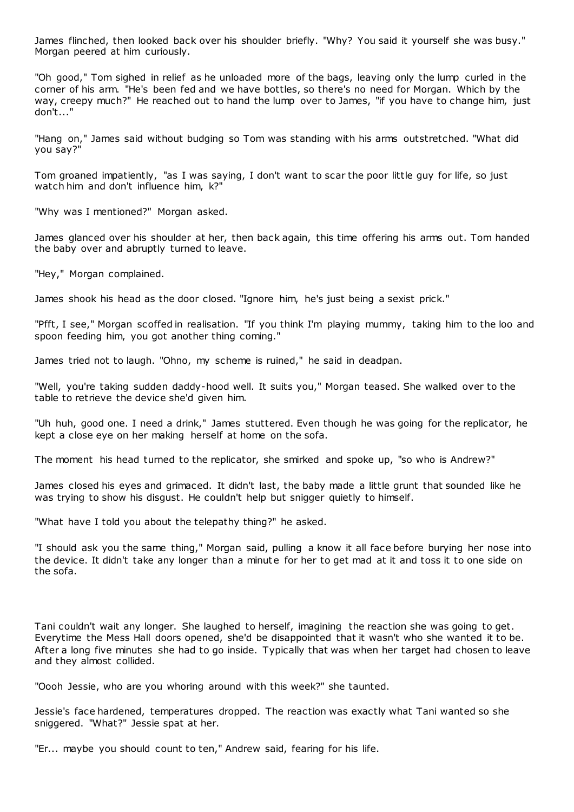James flinched, then looked back over his shoulder briefly. "Why? You said it yourself she was busy." Morgan peered at him curiously.

"Oh good," Tom sighed in relief as he unloaded more of the bags, leaving only the lump curled in the corner of his arm. "He's been fed and we have bottles, so there's no need for Morgan. Which by the way, creepy much?" He reached out to hand the lump over to James, "if you have to change him, just don't..."

"Hang on," James said without budging so Tom was standing with his arms outstretched. "What did you say?"

Tom groaned impatiently, "as I was saying, I don't want to scar the poor little guy for life, so just watch him and don't influence him, k?"

"Why was I mentioned?" Morgan asked.

James glanced over his shoulder at her, then back again, this time offering his arms out. Tom handed the baby over and abruptly turned to leave.

"Hey," Morgan complained.

James shook his head as the door closed. "Ignore him, he's just being a sexist prick."

"Pfft, I see," Morgan scoffed in realisation. "If you think I'm playing mummy, taking him to the loo and spoon feeding him, you got another thing coming."

James tried not to laugh. "Ohno, my scheme is ruined," he said in deadpan.

"Well, you're taking sudden daddy-hood well. It suits you," Morgan teased. She walked over to the table to retrieve the device she'd given him.

"Uh huh, good one. I need a drink," James stuttered. Even though he was going for the replicator, he kept a close eye on her making herself at home on the sofa.

The moment his head turned to the replicator, she smirked and spoke up, "so who is Andrew?"

James closed his eyes and grimaced. It didn't last, the baby made a little grunt that sounded like he was trying to show his disgust. He couldn't help but snigger quietly to himself.

"What have I told you about the telepathy thing?" he asked.

"I should ask you the same thing," Morgan said, pulling a know it all face before burying her nose into the device. It didn't take any longer than a minute for her to get mad at it and toss it to one side on the sofa.

Tani couldn't wait any longer. She laughed to herself, imagining the reaction she was going to get. Everytime the Mess Hall doors opened, she'd be disappointed that it wasn't who she wanted it to be. After a long five minutes she had to go inside. Typically that was when her target had chosen to leave and they almost collided.

"Oooh Jessie, who are you whoring around with this week?" she taunted.

Jessie's face hardened, temperatures dropped. The reaction was exactly what Tani wanted so she sniggered. "What?" Jessie spat at her.

"Er... maybe you should count to ten," Andrew said, fearing for his life.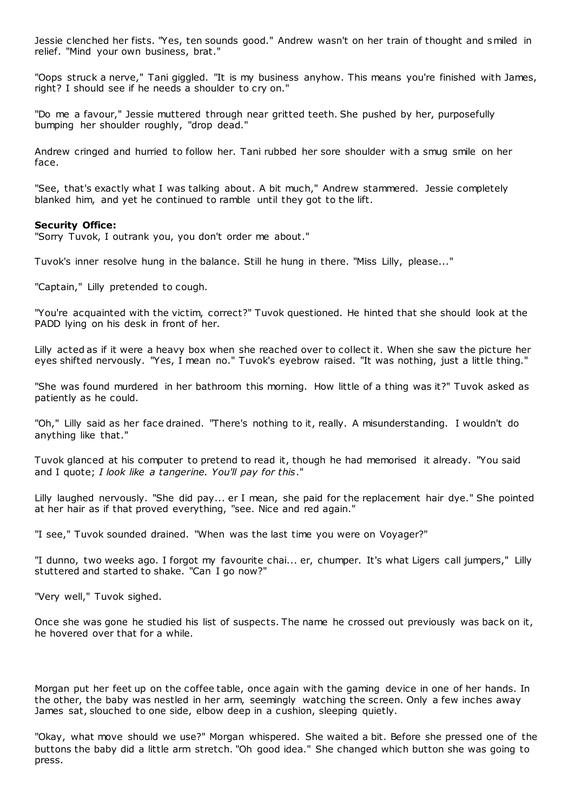Jessie clenched her fists. "Yes, ten sounds good." Andrew wasn't on her train of thought and smiled in relief. "Mind your own business, brat."

"Oops struck a nerve," Tani giggled. "It is my business anyhow. This means you're finished with James, right? I should see if he needs a shoulder to cry on."

"Do me a favour," Jessie muttered through near gritted teeth. She pushed by her, purposefully bumping her shoulder roughly, "drop dead."

Andrew cringed and hurried to follow her. Tani rubbed her sore shoulder with a smug smile on her face.

"See, that's exactly what I was talking about. A bit much," Andrew stammered. Jessie completely blanked him, and yet he continued to ramble until they got to the lift.

### **Security Office:**

"Sorry Tuvok, I outrank you, you don't order me about."

Tuvok's inner resolve hung in the balance. Still he hung in there. "Miss Lilly, please..."

"Captain," Lilly pretended to cough.

"You're acquainted with the victim, correct?" Tuvok questioned. He hinted that she should look at the PADD lying on his desk in front of her.

Lilly acted as if it were a heavy box when she reached over to collect it. When she saw the picture her eyes shifted nervously. "Yes, I mean no." Tuvok's eyebrow raised. "It was nothing, just a little thing."

"She was found murdered in her bathroom this morning. How little of a thing was it?" Tuvok asked as patiently as he could.

"Oh," Lilly said as her face drained. "There's nothing to it, really. A misunderstanding. I wouldn't do anything like that."

Tuvok glanced at his computer to pretend to read it, though he had memorised it already. "You said and I quote; *I look like a tangerine. You'll pay for this*."

Lilly laughed nervously. "She did pay... er I mean, she paid for the replacement hair dye." She pointed at her hair as if that proved everything, "see. Nice and red again."

"I see," Tuvok sounded drained. "When was the last time you were on Voyager?"

"I dunno, two weeks ago. I forgot my favourite chai... er, chumper. It's what Ligers call jumpers," Lilly stuttered and started to shake. "Can I go now?"

"Very well," Tuvok sighed.

Once she was gone he studied his list of suspects. The name he crossed out previously was back on it, he hovered over that for a while.

Morgan put her feet up on the coffee table, once again with the gaming device in one of her hands. In the other, the baby was nestled in her arm, seemingly watching the screen. Only a few inches away James sat, slouched to one side, elbow deep in a cushion, sleeping quietly.

"Okay, what move should we use?" Morgan whispered. She waited a bit. Before she pressed one of the buttons the baby did a little arm stretch. "Oh good idea." She changed which button she was going to press.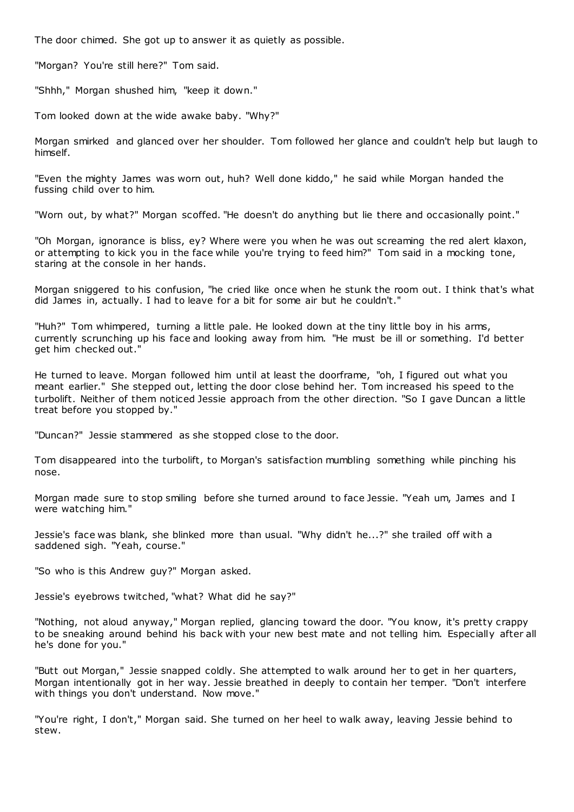The door chimed. She got up to answer it as quietly as possible.

"Morgan? You're still here?" Tom said.

"Shhh," Morgan shushed him, "keep it down."

Tom looked down at the wide awake baby. "Why?"

Morgan smirked and glanced over her shoulder. Tom followed her glance and couldn't help but laugh to himself.

"Even the mighty James was worn out, huh? Well done kiddo," he said while Morgan handed the fussing child over to him.

"Worn out, by what?" Morgan scoffed. "He doesn't do anything but lie there and occasionally point."

"Oh Morgan, ignorance is bliss, ey? Where were you when he was out screaming the red alert klaxon, or attempting to kick you in the face while you're trying to feed him?" Tom said in a mocking tone, staring at the console in her hands.

Morgan sniggered to his confusion, "he cried like once when he stunk the room out. I think that's what did James in, actually. I had to leave for a bit for some air but he couldn't."

"Huh?" Tom whimpered, turning a little pale. He looked down at the tiny little boy in his arms, currently scrunching up his face and looking away from him. "He must be ill or something. I'd better get him checked out."

He turned to leave. Morgan followed him until at least the doorframe, "oh, I figured out what you meant earlier." She stepped out, letting the door close behind her. Tom increased his speed to the turbolift. Neither of them noticed Jessie approach from the other direction. "So I gave Duncan a little treat before you stopped by."

"Duncan?" Jessie stammered as she stopped close to the door.

Tom disappeared into the turbolift, to Morgan's satisfaction mumbling something while pinching his nose.

Morgan made sure to stop smiling before she turned around to face Jessie. "Yeah um, James and I were watching him."

Jessie's face was blank, she blinked more than usual. "Why didn't he...?" she trailed off with a saddened sigh. "Yeah, course."

"So who is this Andrew guy?" Morgan asked.

Jessie's eyebrows twitched, "what? What did he say?"

"Nothing, not aloud anyway," Morgan replied, glancing toward the door. "You know, it's pretty crappy to be sneaking around behind his back with your new best mate and not telling him. Especially after all he's done for you."

"Butt out Morgan," Jessie snapped coldly. She attempted to walk around her to get in her quarters, Morgan intentionally got in her way. Jessie breathed in deeply to contain her temper. "Don't interfere with things you don't understand. Now move."

"You're right, I don't," Morgan said. She turned on her heel to walk away, leaving Jessie behind to stew.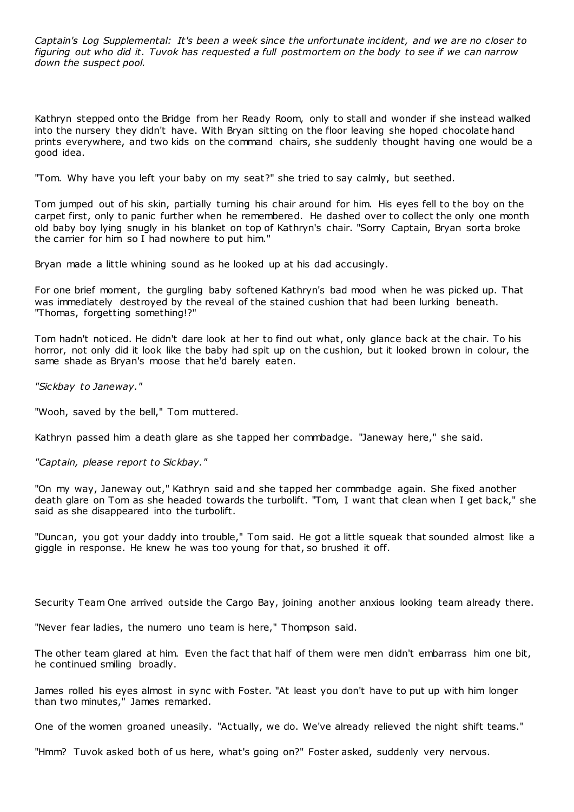*Captain's Log Supplemental: It's been a week since the unfortunate incident, and we are no closer to figuring out who did it. Tuvok has requested a full postmortem on the body to see if we can narrow down the suspect pool.*

Kathryn stepped onto the Bridge from her Ready Room, only to stall and wonder if she instead walked into the nursery they didn't have. With Bryan sitting on the floor leaving she hoped chocolate hand prints everywhere, and two kids on the command chairs, she suddenly thought having one would be a good idea.

"Tom. Why have you left your baby on my seat?" she tried to say calmly, but seethed.

Tom jumped out of his skin, partially turning his chair around for him. His eyes fell to the boy on the carpet first, only to panic further when he remembered. He dashed over to collect the only one month old baby boy lying snugly in his blanket on top of Kathryn's chair. "Sorry Captain, Bryan sorta broke the carrier for him so I had nowhere to put him."

Bryan made a little whining sound as he looked up at his dad accusingly.

For one brief moment, the gurgling baby softened Kathryn's bad mood when he was picked up. That was immediately destroyed by the reveal of the stained cushion that had been lurking beneath. "Thomas, forgetting something!?"

Tom hadn't noticed. He didn't dare look at her to find out what, only glance back at the chair. To his horror, not only did it look like the baby had spit up on the cushion, but it looked brown in colour, the same shade as Bryan's moose that he'd barely eaten.

*"Sickbay to Janeway."*

"Wooh, saved by the bell," Tom muttered.

Kathryn passed him a death glare as she tapped her commbadge. "Janeway here," she said.

*"Captain, please report to Sickbay."*

"On my way, Janeway out," Kathryn said and she tapped her commbadge again. She fixed another death glare on Tom as she headed towards the turbolift. "Tom, I want that clean when I get back," she said as she disappeared into the turbolift.

"Duncan, you got your daddy into trouble," Tom said. He got a little squeak that sounded almost like a giggle in response. He knew he was too young for that, so brushed it off.

Security Team One arrived outside the Cargo Bay, joining another anxious looking team already there.

"Never fear ladies, the numero uno team is here," Thompson said.

The other team glared at him. Even the fact that half of them were men didn't embarrass him one bit, he continued smiling broadly.

James rolled his eyes almost in sync with Foster. "At least you don't have to put up with him longer than two minutes," James remarked.

One of the women groaned uneasily. "Actually, we do. We've already relieved the night shift teams."

"Hmm? Tuvok asked both of us here, what's going on?" Foster asked, suddenly very nervous.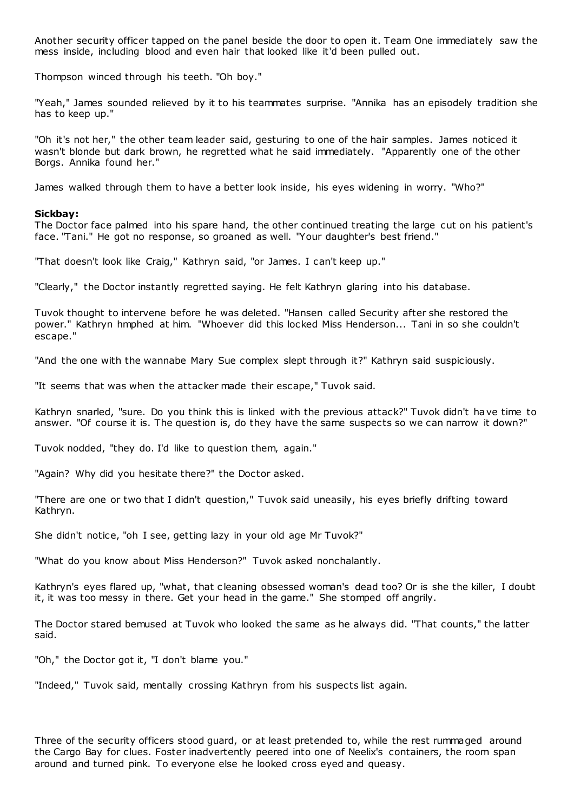Another security officer tapped on the panel beside the door to open it. Team One immediately saw the mess inside, including blood and even hair that looked like it'd been pulled out.

Thompson winced through his teeth. "Oh boy."

"Yeah," James sounded relieved by it to his teammates surprise. "Annika has an episodely tradition she has to keep up."

"Oh it's not her," the other team leader said, gesturing to one of the hair samples. James noticed it wasn't blonde but dark brown, he regretted what he said immediately. "Apparently one of the other Borgs. Annika found her."

James walked through them to have a better look inside, his eyes widening in worry. "Who?"

### **Sickbay:**

The Doctor face palmed into his spare hand, the other continued treating the large cut on his patient's face. "Tani." He got no response, so groaned as well. "Your daughter's best friend."

"That doesn't look like Craig," Kathryn said, "or James. I can't keep up."

"Clearly," the Doctor instantly regretted saying. He felt Kathryn glaring into his database.

Tuvok thought to intervene before he was deleted. "Hansen called Security after she restored the power." Kathryn hmphed at him. "Whoever did this locked Miss Henderson... Tani in so she couldn't escape."

"And the one with the wannabe Mary Sue complex slept through it?" Kathryn said suspiciously.

"It seems that was when the attacker made their escape," Tuvok said.

Kathryn snarled, "sure. Do you think this is linked with the previous attack?" Tuvok didn't have time to answer. "Of course it is. The question is, do they have the same suspects so we can narrow it down?"

Tuvok nodded, "they do. I'd like to question them, again."

"Again? Why did you hesitate there?" the Doctor asked.

"There are one or two that I didn't question," Tuvok said uneasily, his eyes briefly drifting toward Kathryn.

She didn't notice, "oh I see, getting lazy in your old age Mr Tuvok?"

"What do you know about Miss Henderson?" Tuvok asked nonchalantly.

Kathryn's eyes flared up, "what, that c leaning obsessed woman's dead too? Or is she the killer, I doubt it, it was too messy in there. Get your head in the game." She stomped off angrily.

The Doctor stared bemused at Tuvok who looked the same as he always did. "That counts," the latter said.

"Oh," the Doctor got it, "I don't blame you."

"Indeed," Tuvok said, mentally crossing Kathryn from his suspects list again.

Three of the security officers stood guard, or at least pretended to, while the rest rummaged around the Cargo Bay for clues. Foster inadvertently peered into one of Neelix's containers, the room span around and turned pink. To everyone else he looked cross eyed and queasy.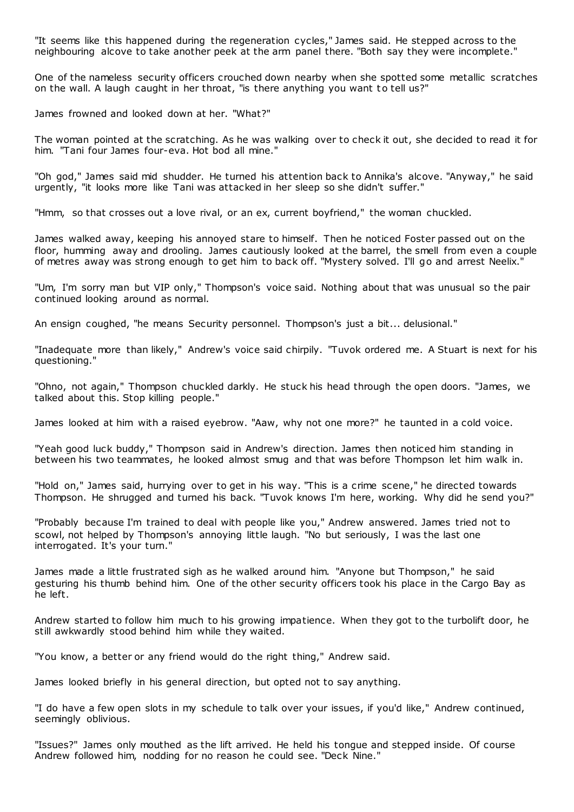"It seems like this happened during the regeneration cycles," James said. He stepped across to the neighbouring alcove to take another peek at the arm panel there. "Both say they were incomplete."

One of the nameless security officers crouched down nearby when she spotted some metallic scratches on the wall. A laugh caught in her throat, "is there anything you want t o tell us?"

James frowned and looked down at her. "What?"

The woman pointed at the scratching. As he was walking over to check it out, she decided to read it for him. "Tani four James four-eva. Hot bod all mine."

"Oh god," James said mid shudder. He turned his attention back to Annika's alcove. "Anyway," he said urgently, "it looks more like Tani was attacked in her sleep so she didn't suffer."

"Hmm, so that crosses out a love rival, or an ex, current boyfriend," the woman chuckled.

James walked away, keeping his annoyed stare to himself. Then he noticed Foster passed out on the floor, humming away and drooling. James cautiously looked at the barrel, the smell from even a couple of metres away was strong enough to get him to back off. "Mystery solved. I'll go and arrest Neelix."

"Um, I'm sorry man but VIP only," Thompson's voice said. Nothing about that was unusual so the pair continued looking around as normal.

An ensign coughed, "he means Security personnel. Thompson's just a bit... delusional."

"Inadequate more than likely," Andrew's voice said chirpily. "Tuvok ordered me. A Stuart is next for his questioning."

"Ohno, not again," Thompson chuckled darkly. He stuck his head through the open doors. "James, we talked about this. Stop killing people."

James looked at him with a raised eyebrow. "Aaw, why not one more?" he taunted in a cold voice.

"Yeah good luck buddy," Thompson said in Andrew's direction. James then noticed him standing in between his two teammates, he looked almost smug and that was before Thompson let him walk in.

"Hold on," James said, hurrying over to get in his way. "This is a crime scene," he directed towards Thompson. He shrugged and turned his back. "Tuvok knows I'm here, working. Why did he send you?"

"Probably because I'm trained to deal with people like you," Andrew answered. James tried not to scowl, not helped by Thompson's annoying little laugh. "No but seriously, I was the last one interrogated. It's your turn."

James made a little frustrated sigh as he walked around him. "Anyone but Thompson," he said gesturing his thumb behind him. One of the other security officers took his place in the Cargo Bay as he left.

Andrew started to follow him much to his growing impatience. When they got to the turbolift door, he still awkwardly stood behind him while they waited.

"You know, a better or any friend would do the right thing," Andrew said.

James looked briefly in his general direction, but opted not to say anything.

"I do have a few open slots in my schedule to talk over your issues, if you'd like," Andrew continued, seemingly oblivious.

"Issues?" James only mouthed as the lift arrived. He held his tongue and stepped inside. Of course Andrew followed him, nodding for no reason he could see. "Deck Nine."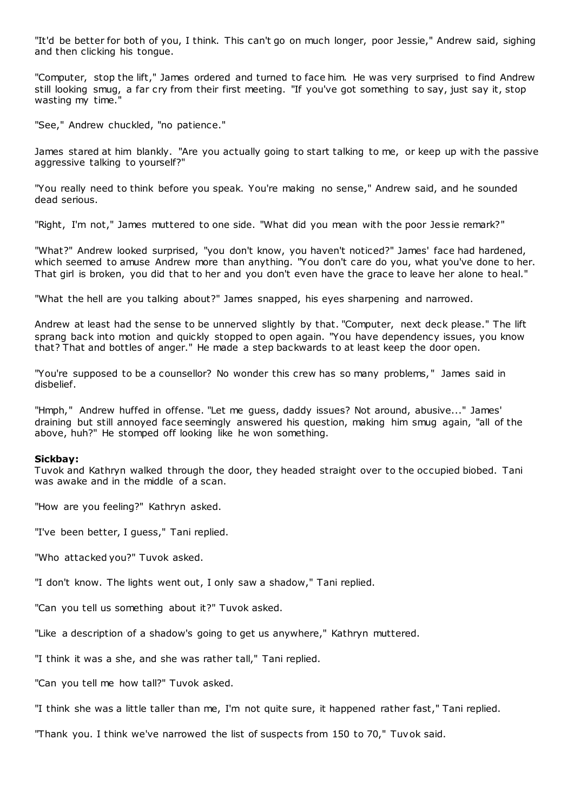"It'd be better for both of you, I think. This can't go on much longer, poor Jessie," Andrew said, sighing and then clicking his tongue.

"Computer, stop the lift," James ordered and turned to face him. He was very surprised to find Andrew still looking smug, a far cry from their first meeting. "If you've got something to say, just say it, stop wasting my time.'

"See," Andrew chuckled, "no patience."

James stared at him blankly. "Are you actually going to start talking to me, or keep up with the passive aggressive talking to yourself?"

"You really need to think before you speak. You're making no sense," Andrew said, and he sounded dead serious.

"Right, I'm not," James muttered to one side. "What did you mean with the poor Jessie remark?"

"What?" Andrew looked surprised, "you don't know, you haven't noticed?" James' face had hardened, which seemed to amuse Andrew more than anything. "You don't care do you, what you've done to her. That girl is broken, you did that to her and you don't even have the grace to leave her alone to heal."

"What the hell are you talking about?" James snapped, his eyes sharpening and narrowed.

Andrew at least had the sense to be unnerved slightly by that. "Computer, next deck please." The lift sprang back into motion and quickly stopped to open again. "You have dependency issues, you know that? That and bottles of anger." He made a step backwards to at least keep the door open.

"You're supposed to be a counsellor? No wonder this crew has so many problems," James said in disbelief.

"Hmph," Andrew huffed in offense. "Let me guess, daddy issues? Not around, abusive..." James' draining but still annoyed face seemingly answered his question, making him smug again, "all of the above, huh?" He stomped off looking like he won something.

### **Sickbay:**

Tuvok and Kathryn walked through the door, they headed straight over to the occupied biobed. Tani was awake and in the middle of a scan.

"How are you feeling?" Kathryn asked.

"I've been better, I guess," Tani replied.

"Who attacked you?" Tuvok asked.

"I don't know. The lights went out, I only saw a shadow," Tani replied.

"Can you tell us something about it?" Tuvok asked.

"Like a description of a shadow's going to get us anywhere," Kathryn muttered.

"I think it was a she, and she was rather tall," Tani replied.

"Can you tell me how tall?" Tuvok asked.

"I think she was a little taller than me, I'm not quite sure, it happened rather fast," Tani replied.

"Thank you. I think we've narrowed the list of suspects from 150 to 70," Tuvok said.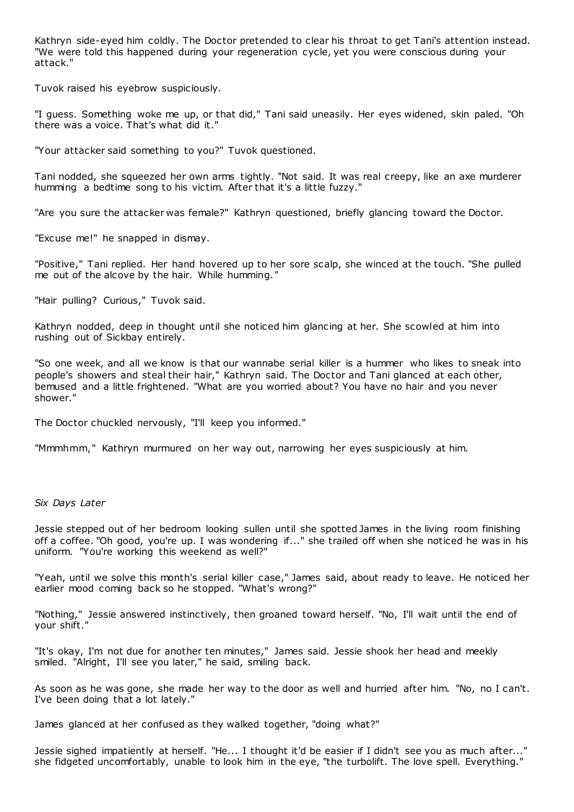Kathryn side-eyed him coldly. The Doctor pretended to clear his throat to get Tani's attention instead. "We were told this happened during your regeneration cycle, yet you were conscious during your attack."

Tuvok raised his eyebrow suspiciously.

"I guess. Something woke me up, or that did," Tani said uneasily. Her eyes widened, skin paled. "Oh there was a voice. That's what did it."

"Your attacker said something to you?" Tuvok questioned.

Tani nodded, she squeezed her own arms tightly. "Not said. It was real creepy, like an axe murderer humming a bedtime song to his victim. After that it's a little fuzzy."

"Are you sure the attacker was female?" Kathryn questioned, briefly glancing toward the Doctor.

"Excuse me!" he snapped in dismay.

"Positive," Tani replied. Her hand hovered up to her sore scalp, she winced at the touch. "She pulled me out of the alcove by the hair. While humming."

"Hair pulling? Curious," Tuvok said.

Kathryn nodded, deep in thought until she noticed him glancing at her. She scowled at him into rushing out of Sickbay entirely.

"So one week, and all we know is that our wannabe serial killer is a hummer who likes to sneak into people's showers and steal their hair," Kathryn said. The Doctor and Tani glanced at each other, bemused and a little frightened. "What are you worried about? You have no hair and you never shower."

The Doctor chuckled nervously, "I'll keep you informed."

"Mmmhmm," Kathryn murmured on her way out, narrowing her eyes suspiciously at him.

# *Six Days Later*

Jessie stepped out of her bedroom looking sullen until she spotted James in the living room finishing off a coffee. "Oh good, you're up. I was wondering if..." she trailed off when she noticed he was in his uniform. "You're working this weekend as well?"

"Yeah, until we solve this month's serial killer case," James said, about ready to leave. He noticed her earlier mood coming back so he stopped. "What's wrong?"

"Nothing," Jessie answered instinctively, then groaned toward herself. "No, I'll wait until the end of your shift."

"It's okay, I'm not due for another ten minutes," James said. Jessie shook her head and meekly smiled. "Alright, I'll see you later," he said, smiling back.

As soon as he was gone, she made her way to the door as well and hurried after him. "No, no I can't. I've been doing that a lot lately."

James glanced at her confused as they walked together, "doing what?"

Jessie sighed impatiently at herself. "He... I thought it'd be easier if I didn't see you as much after..." she fidgeted uncomfortably, unable to look him in the eye, "the turbolift. The love spell. Everything."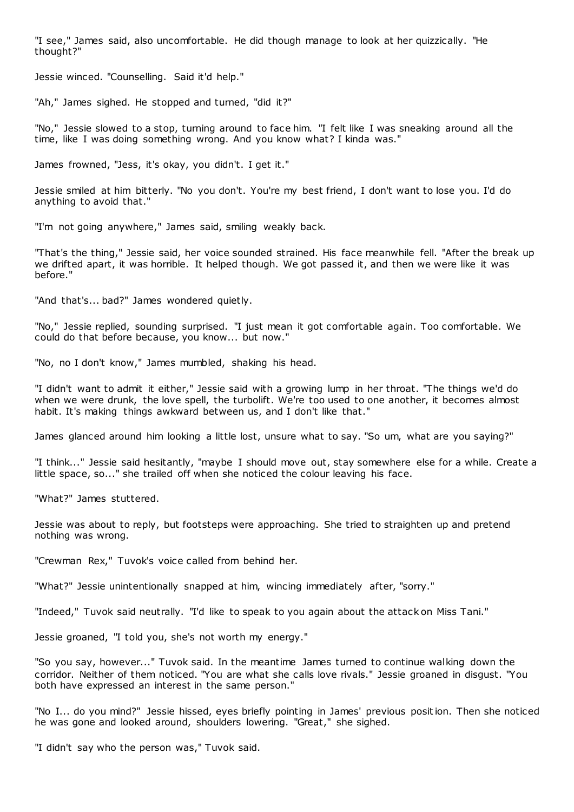"I see," James said, also uncomfortable. He did though manage to look at her quizzically. "He thought?"

Jessie winced. "Counselling. Said it'd help."

"Ah," James sighed. He stopped and turned, "did it?"

"No," Jessie slowed to a stop, turning around to face him. "I felt like I was sneaking around all the time, like I was doing something wrong. And you know what? I kinda was."

James frowned, "Jess, it's okay, you didn't. I get it."

Jessie smiled at him bitterly. "No you don't. You're my best friend, I don't want to lose you. I'd do anything to avoid that."

"I'm not going anywhere," James said, smiling weakly back.

"That's the thing," Jessie said, her voice sounded strained. His face meanwhile fell. "After the break up we drifted apart, it was horrible. It helped though. We got passed it, and then we were like it was before."

"And that's... bad?" James wondered quietly.

"No," Jessie replied, sounding surprised. "I just mean it got comfortable again. Too comfortable. We could do that before because, you know... but now."

"No, no I don't know," James mumbled, shaking his head.

"I didn't want to admit it either," Jessie said with a growing lump in her throat. "The things we'd do when we were drunk, the love spell, the turbolift. We're too used to one another, it becomes almost habit. It's making things awkward between us, and I don't like that."

James glanced around him looking a little lost, unsure what to say. "So um, what are you saying?"

"I think..." Jessie said hesitantly, "maybe I should move out, stay somewhere else for a while. Create a little space, so..." she trailed off when she noticed the colour leaving his face.

"What?" James stuttered.

Jessie was about to reply, but footsteps were approaching. She tried to straighten up and pretend nothing was wrong.

"Crewman Rex," Tuvok's voice called from behind her.

"What?" Jessie unintentionally snapped at him, wincing immediately after, "sorry."

"Indeed," Tuvok said neutrally. "I'd like to speak to you again about the attack on Miss Tani."

Jessie groaned, "I told you, she's not worth my energy."

"So you say, however..." Tuvok said. In the meantime James turned to continue walking down the corridor. Neither of them noticed. "You are what she calls love rivals." Jessie groaned in disgust. "You both have expressed an interest in the same person."

"No I... do you mind?" Jessie hissed, eyes briefly pointing in James' previous position. Then she noticed he was gone and looked around, shoulders lowering. "Great," she sighed.

"I didn't say who the person was," Tuvok said.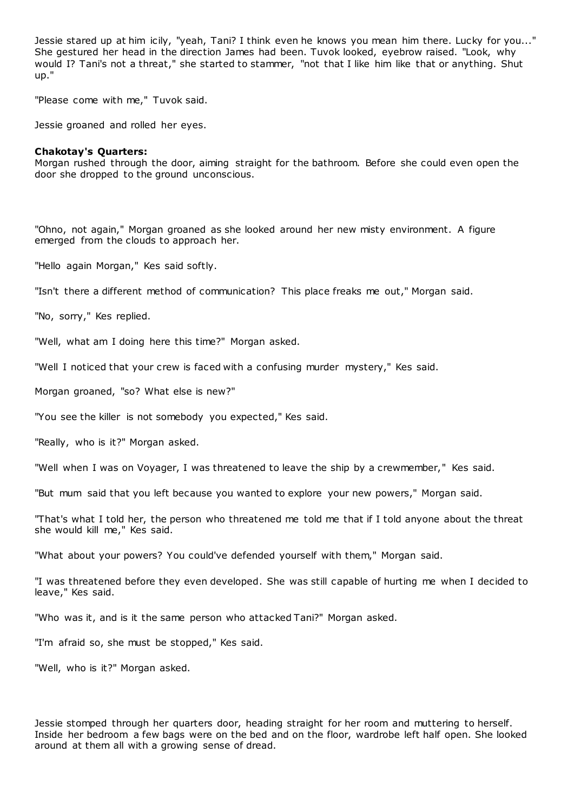Jessie stared up at him icily, "yeah, Tani? I think even he knows you mean him there. Lucky for you..." She gestured her head in the direction James had been. Tuvok looked, eyebrow raised. "Look, why would I? Tani's not a threat," she started to stammer, "not that I like him like that or anything. Shut up."

"Please come with me," Tuvok said.

Jessie groaned and rolled her eyes.

### **Chakotay's Quarters:**

Morgan rushed through the door, aiming straight for the bathroom. Before she could even open the door she dropped to the ground unconscious.

"Ohno, not again," Morgan groaned as she looked around her new misty environment. A figure emerged from the clouds to approach her.

"Hello again Morgan," Kes said softly.

"Isn't there a different method of communication? This place freaks me out," Morgan said.

"No, sorry," Kes replied.

"Well, what am I doing here this time?" Morgan asked.

"Well I noticed that your crew is faced with a confusing murder mystery," Kes said.

Morgan groaned, "so? What else is new?"

"You see the killer is not somebody you expected," Kes said.

"Really, who is it?" Morgan asked.

"Well when I was on Voyager, I was threatened to leave the ship by a crewmember," Kes said.

"But mum said that you left because you wanted to explore your new powers," Morgan said.

"That's what I told her, the person who threatened me told me that if I told anyone about the threat she would kill me," Kes said.

"What about your powers? You could've defended yourself with them," Morgan said.

"I was threatened before they even developed. She was still capable of hurting me when I decided to leave," Kes said.

"Who was it, and is it the same person who attacked Tani?" Morgan asked.

"I'm afraid so, she must be stopped," Kes said.

"Well, who is it?" Morgan asked.

Jessie stomped through her quarters door, heading straight for her room and muttering to herself. Inside her bedroom a few bags were on the bed and on the floor, wardrobe left half open. She looked around at them all with a growing sense of dread.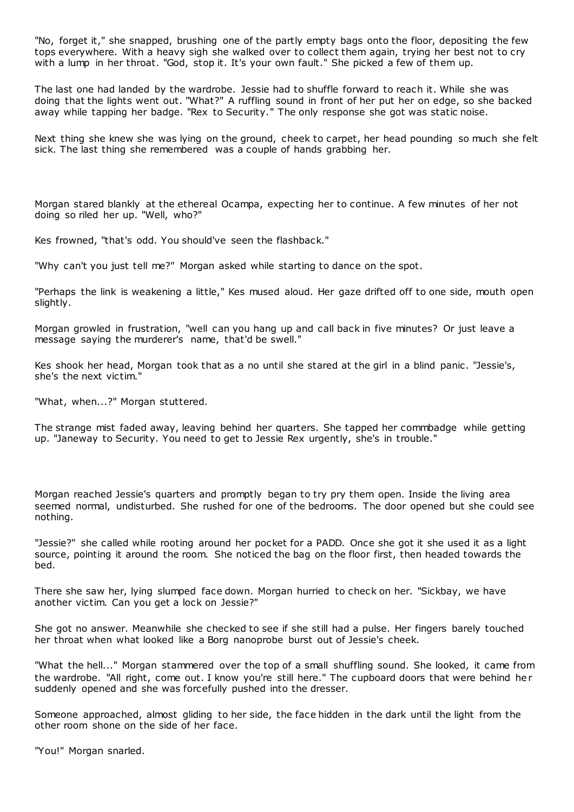"No, forget it," she snapped, brushing one of the partly empty bags onto the floor, depositing the few tops everywhere. With a heavy sigh she walked over to collect them again, trying her best not to cry with a lump in her throat. "God, stop it. It's your own fault." She picked a few of them up.

The last one had landed by the wardrobe. Jessie had to shuffle forward to reach it. While she was doing that the lights went out. "What?" A ruffling sound in front of her put her on edge, so she backed away while tapping her badge. "Rex to Security." The only response she got was static noise.

Next thing she knew she was lying on the ground, cheek to carpet, her head pounding so much she felt sick. The last thing she remembered was a couple of hands grabbing her.

Morgan stared blankly at the ethereal Ocampa, expecting her to continue. A few minutes of her not doing so riled her up. "Well, who?"

Kes frowned, "that's odd. You should've seen the flashback."

"Why can't you just tell me?" Morgan asked while starting to dance on the spot.

"Perhaps the link is weakening a little," Kes mused aloud. Her gaze drifted off to one side, mouth open slightly.

Morgan growled in frustration, "well can you hang up and call back in five minutes? Or just leave a message saying the murderer's name, that'd be swell."

Kes shook her head, Morgan took that as a no until she stared at the girl in a blind panic. "Jessie's, she's the next victim."

"What, when...?" Morgan stuttered.

The strange mist faded away, leaving behind her quarters. She tapped her commbadge while getting up. "Janeway to Security. You need to get to Jessie Rex urgently, she's in trouble."

Morgan reached Jessie's quarters and promptly began to try pry them open. Inside the living area seemed normal, undisturbed. She rushed for one of the bedrooms. The door opened but she could see nothing.

"Jessie?" she called while rooting around her pocket for a PADD. Once she got it she used it as a light source, pointing it around the room. She noticed the bag on the floor first, then headed towards the bed.

There she saw her, lying slumped face down. Morgan hurried to check on her. "Sickbay, we have another victim. Can you get a lock on Jessie?"

She got no answer. Meanwhile she checked to see if she still had a pulse. Her fingers barely touched her throat when what looked like a Borg nanoprobe burst out of Jessie's cheek.

"What the hell..." Morgan stammered over the top of a small shuffling sound. She looked, it came from the wardrobe. "All right, come out. I know you're still here." The cupboard doors that were behind her suddenly opened and she was forcefully pushed into the dresser.

Someone approached, almost gliding to her side, the face hidden in the dark until the light from the other room shone on the side of her face.

"You!" Morgan snarled.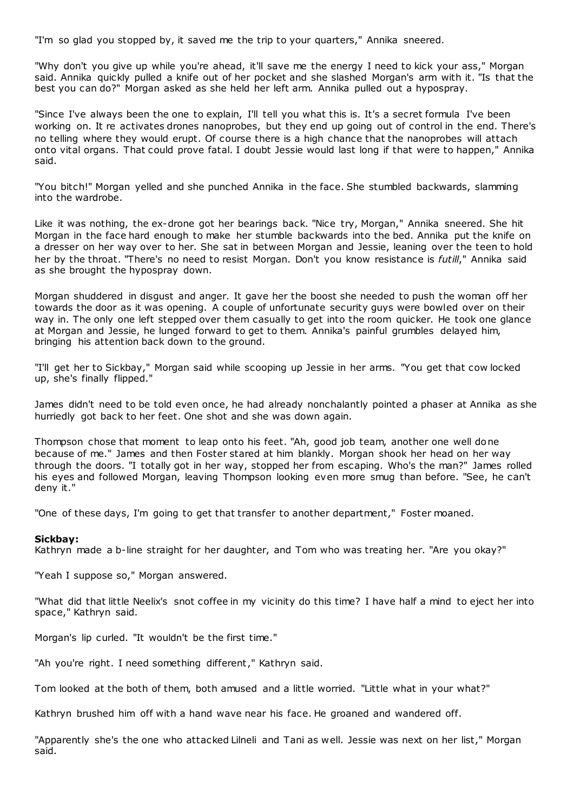"I'm so glad you stopped by, it saved me the trip to your quarters," Annika sneered.

"Why don't you give up while you're ahead, it'll save me the energy I need to kick your ass," Morgan said. Annika quickly pulled a knife out of her pocket and she slashed Morgan's arm with it. "Is that the best you can do?" Morgan asked as she held her left arm. Annika pulled out a hypospray.

"Since I've always been the one to explain, I'll tell you what this is. It's a secret formula I've been working on. It re activates drones nanoprobes, but they end up going out of control in the end. There's no telling where they would erupt. Of course there is a high chance that the nanoprobes will attach onto vital organs. That could prove fatal. I doubt Jessie would last long if that were to happen," Annika said.

"You bitch!" Morgan yelled and she punched Annika in the face. She stumbled backwards, slamming into the wardrobe.

Like it was nothing, the ex-drone got her bearings back. "Nice try, Morgan," Annika sneered. She hit Morgan in the face hard enough to make her stumble backwards into the bed. Annika put the knife on a dresser on her way over to her. She sat in between Morgan and Jessie, leaning over the teen to hold her by the throat. "There's no need to resist Morgan. Don't you know resistance is *futill*," Annika said as she brought the hypospray down.

Morgan shuddered in disgust and anger. It gave her the boost she needed to push the woman off her towards the door as it was opening. A couple of unfortunate security guys were bowled over on their way in. The only one left stepped over them casually to get into the room quicker. He took one glance at Morgan and Jessie, he lunged forward to get to them. Annika's painful grumbles delayed him, bringing his attention back down to the ground.

"I'll get her to Sickbay," Morgan said while scooping up Jessie in her arms. "You get that cow locked up, she's finally flipped."

James didn't need to be told even once, he had already nonchalantly pointed a phaser at Annika as she hurriedly got back to her feet. One shot and she was down again.

Thompson chose that moment to leap onto his feet. "Ah, good job team, another one well done because of me." James and then Foster stared at him blankly. Morgan shook her head on her way through the doors. "I totally got in her way, stopped her from escaping. Who's the man?" James rolled his eyes and followed Morgan, leaving Thompson looking even more smug than before. "See, he can't deny it."

"One of these days, I'm going to get that transfer to another department," Foster moaned.

## **Sickbay:**

Kathryn made a b-line straight for her daughter, and Tom who was treating her. "Are you okay?"

"Yeah I suppose so," Morgan answered.

"What did that little Neelix's snot coffee in my vicinity do this time? I have half a mind to eject her into space," Kathryn said.

Morgan's lip curled. "It wouldn't be the first time."

"Ah you're right. I need something different," Kathryn said.

Tom looked at the both of them, both amused and a little worried. "Little what in your what?"

Kathryn brushed him off with a hand wave near his face. He groaned and wandered off.

"Apparently she's the one who attacked Lilneli and Tani as well. Jessie was next on her list," Morgan said.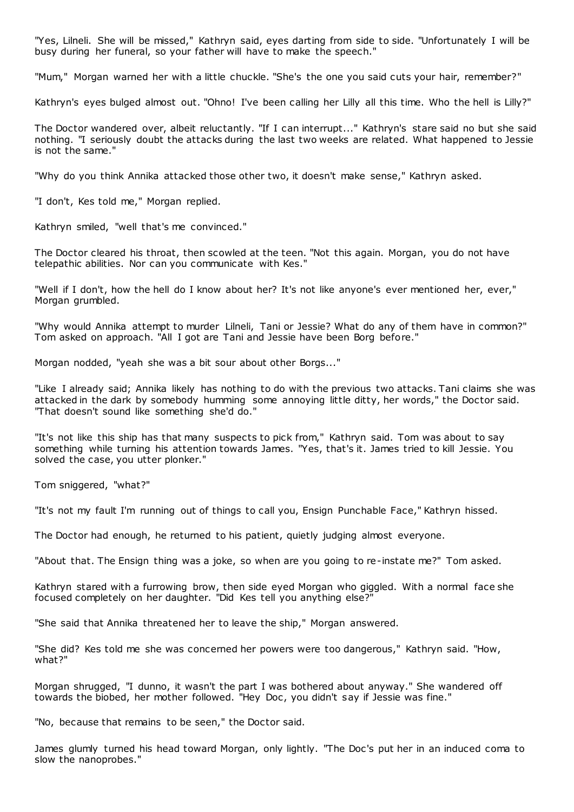"Yes, Lilneli. She will be missed," Kathryn said, eyes darting from side to side. "Unfortunately I will be busy during her funeral, so your father will have to make the speech."

"Mum," Morgan warned her with a little chuckle. "She's the one you said cuts your hair, remember?"

Kathryn's eyes bulged almost out. "Ohno! I've been calling her Lilly all this time. Who the hell is Lilly?"

The Doctor wandered over, albeit reluctantly. "If I can interrupt..." Kathryn's stare said no but she said nothing. "I seriously doubt the attacks during the last two weeks are related. What happened to Jessie is not the same."

"Why do you think Annika attacked those other two, it doesn't make sense," Kathryn asked.

"I don't, Kes told me," Morgan replied.

Kathryn smiled, "well that's me convinced."

The Doctor cleared his throat, then scowled at the teen. "Not this again. Morgan, you do not have telepathic abilities. Nor can you communicate with Kes."

"Well if I don't, how the hell do I know about her? It's not like anyone's ever mentioned her, ever," Morgan grumbled.

"Why would Annika attempt to murder Lilneli, Tani or Jessie? What do any of them have in common?" Tom asked on approach. "All I got are Tani and Jessie have been Borg before."

Morgan nodded, "yeah she was a bit sour about other Borgs..."

"Like I already said; Annika likely has nothing to do with the previous two attacks. Tani claims she was attacked in the dark by somebody humming some annoying little ditty, her words," the Doctor said. "That doesn't sound like something she'd do."

"It's not like this ship has that many suspects to pick from," Kathryn said. Tom was about to say something while turning his attention towards James. "Yes, that's it. James tried to kill Jessie. You solved the case, you utter plonker."

Tom sniggered, "what?"

"It's not my fault I'm running out of things to call you, Ensign Punchable Face," Kathryn hissed.

The Doctor had enough, he returned to his patient, quietly judging almost everyone.

"About that. The Ensign thing was a joke, so when are you going to re-instate me?" Tom asked.

Kathryn stared with a furrowing brow, then side eyed Morgan who giggled. With a normal face she focused completely on her daughter. "Did Kes tell you anything else?"

"She said that Annika threatened her to leave the ship," Morgan answered.

"She did? Kes told me she was concerned her powers were too dangerous," Kathryn said. "How, what?"

Morgan shrugged, "I dunno, it wasn't the part I was bothered about anyway." She wandered off towards the biobed, her mother followed. "Hey Doc, you didn't say if Jessie was fine."

"No, because that remains to be seen," the Doctor said.

James glumly turned his head toward Morgan, only lightly. "The Doc's put her in an induced coma to slow the nanoprobes."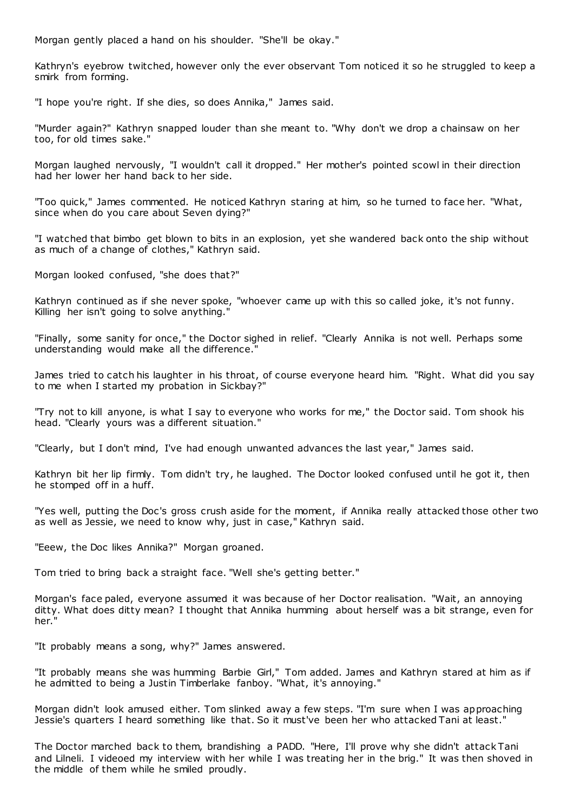Morgan gently placed a hand on his shoulder. "She'll be okay."

Kathryn's eyebrow twitched, however only the ever observant Tom noticed it so he struggled to keep a smirk from forming.

"I hope you're right. If she dies, so does Annika," James said.

"Murder again?" Kathryn snapped louder than she meant to. "Why don't we drop a chainsaw on her too, for old times sake."

Morgan laughed nervously, "I wouldn't call it dropped." Her mother's pointed scowl in their direction had her lower her hand back to her side.

"Too quick," James commented. He noticed Kathryn staring at him, so he turned to face her. "What, since when do you care about Seven dying?"

"I watched that bimbo get blown to bits in an explosion, yet she wandered back onto the ship without as much of a change of clothes," Kathryn said.

Morgan looked confused, "she does that?"

Kathryn continued as if she never spoke, "whoever came up with this so called joke, it's not funny. Killing her isn't going to solve anything."

"Finally, some sanity for once," the Doctor sighed in relief. "Clearly Annika is not well. Perhaps some understanding would make all the difference."

James tried to catch his laughter in his throat, of course everyone heard him. "Right. What did you say to me when I started my probation in Sickbay?"

"Try not to kill anyone, is what I say to everyone who works for me," the Doctor said. Tom shook his head. "Clearly yours was a different situation."

"Clearly, but I don't mind, I've had enough unwanted advances the last year," James said.

Kathryn bit her lip firmly. Tom didn't try, he laughed. The Doctor looked confused until he got it, then he stomped off in a huff.

"Yes well, putting the Doc's gross crush aside for the moment, if Annika really attacked those other two as well as Jessie, we need to know why, just in case," Kathryn said.

"Eeew, the Doc likes Annika?" Morgan groaned.

Tom tried to bring back a straight face. "Well she's getting better."

Morgan's face paled, everyone assumed it was because of her Doctor realisation. "Wait, an annoying ditty. What does ditty mean? I thought that Annika humming about herself was a bit strange, even for her."

"It probably means a song, why?" James answered.

"It probably means she was humming Barbie Girl," Tom added. James and Kathryn stared at him as if he admitted to being a Justin Timberlake fanboy. "What, it's annoying."

Morgan didn't look amused either. Tom slinked away a few steps. "I'm sure when I was approaching Jessie's quarters I heard something like that. So it must've been her who attacked Tani at least."

The Doctor marched back to them, brandishing a PADD. "Here, I'll prove why she didn't attack Tani and Lilneli. I videoed my interview with her while I was treating her in the brig." It was then shoved in the middle of them while he smiled proudly.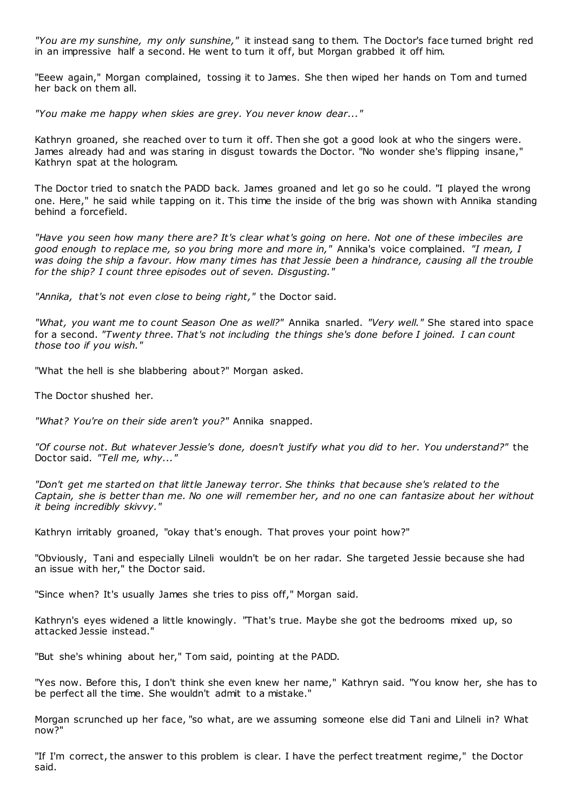*"You are my sunshine, my only sunshine,"* it instead sang to them. The Doctor's face turned bright red in an impressive half a second. He went to turn it off, but Morgan grabbed it off him.

"Eeew again," Morgan complained, tossing it to James. She then wiped her hands on Tom and turned her back on them all.

*"You make me happy when skies are grey. You never know dear..."*

Kathryn groaned, she reached over to turn it off. Then she got a good look at who the singers were. James already had and was staring in disgust towards the Doctor. "No wonder she's flipping insane," Kathryn spat at the hologram.

The Doctor tried to snatch the PADD back. James groaned and let go so he could. "I played the wrong one. Here," he said while tapping on it. This time the inside of the brig was shown with Annika standing behind a forcefield.

*"Have you seen how many there are? It's clear what's going on here. Not one of these imbeciles are good enough to replace me, so you bring more and more in,"* Annika's voice complained. *"I mean, I was doing the ship a favour. How many times has that Jessie been a hindrance, causing all the trouble for the ship? I count three episodes out of seven. Disgusting."*

*"Annika, that's not even close to being right,"* the Doctor said.

*"What, you want me to count Season One as well?"* Annika snarled. *"Very well."* She stared into space for a second. *"Twenty three. That's not including the things she's done before I joined. I can count those too if you wish."*

"What the hell is she blabbering about?" Morgan asked.

The Doctor shushed her.

*"What? You're on their side aren't you?"* Annika snapped.

*"Of course not. But whatever Jessie's done, doesn't justify what you did to her. You understand?"* the Doctor said. *"Tell me, why..."*

*"Don't get me started on that little Janeway terror. She thinks that because she's related to the Captain, she is better than me. No one will remember her, and no one can fantasize about her without it being incredibly skivvy."*

Kathryn irritably groaned, "okay that's enough. That proves your point how?"

"Obviously, Tani and especially Lilneli wouldn't be on her radar. She targeted Jessie because she had an issue with her," the Doctor said.

"Since when? It's usually James she tries to piss off," Morgan said.

Kathryn's eyes widened a little knowingly. "That's true. Maybe she got the bedrooms mixed up, so attacked Jessie instead."

"But she's whining about her," Tom said, pointing at the PADD.

"Yes now. Before this, I don't think she even knew her name," Kathryn said. "You know her, she has to be perfect all the time. She wouldn't admit to a mistake."

Morgan scrunched up her face, "so what, are we assuming someone else did Tani and Lilneli in? What now?"

"If I'm correct, the answer to this problem is clear. I have the perfect treatment regime," the Doctor said.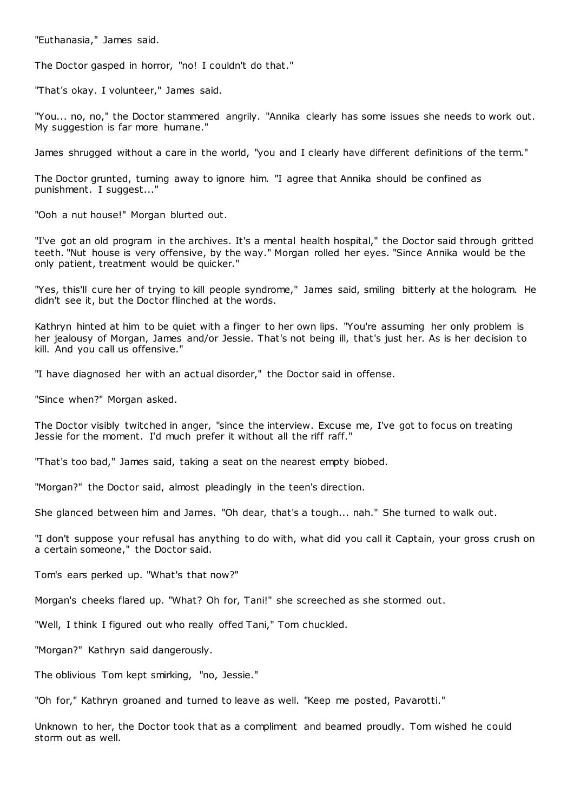"Euthanasia," James said.

The Doctor gasped in horror, "no! I couldn't do that."

"That's okay. I volunteer," James said.

"You... no, no," the Doctor stammered angrily. "Annika clearly has some issues she needs to work out. My suggestion is far more humane."

James shrugged without a care in the world, "you and I clearly have different definitions of the term."

The Doctor grunted, turning away to ignore him. "I agree that Annika should be confined as punishment. I suggest..."

"Ooh a nut house!" Morgan blurted out.

"I've got an old program in the archives. It's a mental health hospital," the Doctor said through gritted teeth. "Nut house is very offensive, by the way." Morgan rolled her eyes. "Since Annika would be the only patient, treatment would be quicker."

"Yes, this'll cure her of trying to kill people syndrome," James said, smiling bitterly at the hologram. He didn't see it, but the Doctor flinched at the words.

Kathryn hinted at him to be quiet with a finger to her own lips. "You're assuming her only problem is her jealousy of Morgan, James and/or Jessie. That's not being ill, that's just her. As is her decision to kill. And you call us offensive."

"I have diagnosed her with an actual disorder," the Doctor said in offense.

"Since when?" Morgan asked.

The Doctor visibly twitched in anger, "since the interview. Excuse me, I've got to focus on treating Jessie for the moment. I'd much prefer it without all the riff raff."

"That's too bad," James said, taking a seat on the nearest empty biobed.

"Morgan?" the Doctor said, almost pleadingly in the teen's direction.

She glanced between him and James. "Oh dear, that's a tough... nah." She turned to walk out.

"I don't suppose your refusal has anything to do with, what did you call it Captain, your gross crush on a certain someone," the Doctor said.

Tom's ears perked up. "What's that now?"

Morgan's cheeks flared up. "What? Oh for, Tani!" she screeched as she stormed out.

"Well, I think I figured out who really offed Tani," Tom chuckled.

"Morgan?" Kathryn said dangerously.

The oblivious Tom kept smirking, "no, Jessie."

"Oh for," Kathryn groaned and turned to leave as well. "Keep me posted, Pavarotti."

Unknown to her, the Doctor took that as a compliment and beamed proudly. Tom wished he could storm out as well.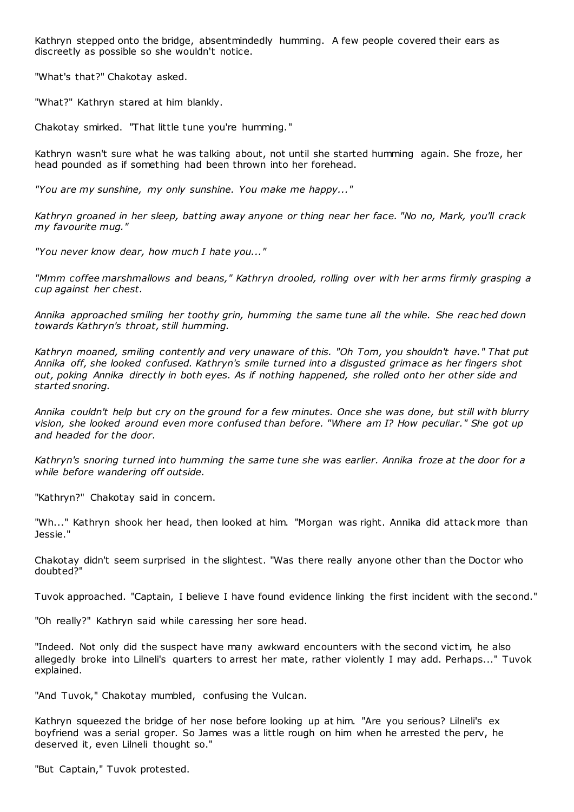Kathryn stepped onto the bridge, absentmindedly humming. A few people covered their ears as discreetly as possible so she wouldn't notice.

"What's that?" Chakotay asked.

"What?" Kathryn stared at him blankly.

Chakotay smirked. "That little tune you're humming."

Kathryn wasn't sure what he was talking about, not until she started humming again. She froze, her head pounded as if something had been thrown into her forehead.

*"You are my sunshine, my only sunshine. You make me happy..."*

*Kathryn groaned in her sleep, batting away anyone or thing near her face. "No no, Mark, you'll crack my favourite mug."*

*"You never know dear, how much I hate you..."*

*"Mmm coffee marshmallows and beans," Kathryn drooled, rolling over with her arms firmly grasping a cup against her chest.*

*Annika approached smiling her toothy grin, humming the same tune all the while. She reac hed down towards Kathryn's throat, still humming.*

*Kathryn moaned, smiling contently and very unaware of this. "Oh Tom, you shouldn't have." That put Annika off, she looked confused. Kathryn's smile turned into a disgusted grimace as her fingers shot out, poking Annika directly in both eyes. As if nothing happened, she rolled onto her other side and started snoring.*

*Annika couldn't help but cry on the ground for a few minutes. Once she was done, but still with blurry vision, she looked around even more confused than before. "Where am I? How peculiar." She got up and headed for the door.*

*Kathryn's snoring turned into humming the same tune she was earlier. Annika froze at the door for a while before wandering off outside.*

"Kathryn?" Chakotay said in concern.

"Wh..." Kathryn shook her head, then looked at him. "Morgan was right. Annika did attack more than Jessie."

Chakotay didn't seem surprised in the slightest. "Was there really anyone other than the Doctor who doubted?"

Tuvok approached. "Captain, I believe I have found evidence linking the first incident with the second."

"Oh really?" Kathryn said while caressing her sore head.

"Indeed. Not only did the suspect have many awkward encounters with the second victim, he also allegedly broke into Lilneli's quarters to arrest her mate, rather violently I may add. Perhaps..." Tuvok explained.

"And Tuvok," Chakotay mumbled, confusing the Vulcan.

Kathryn squeezed the bridge of her nose before looking up at him. "Are you serious? Lilneli's ex boyfriend was a serial groper. So James was a little rough on him when he arrested the perv, he deserved it, even Lilneli thought so."

"But Captain," Tuvok protested.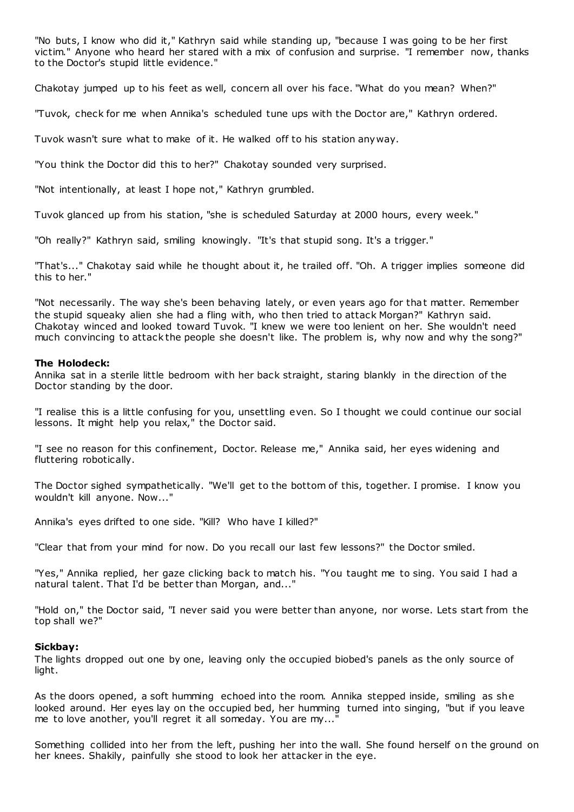"No buts, I know who did it," Kathryn said while standing up, "because I was going to be her first victim." Anyone who heard her stared with a mix of confusion and surprise. "I remember now, thanks to the Doctor's stupid little evidence."

Chakotay jumped up to his feet as well, concern all over his face. "What do you mean? When?"

"Tuvok, check for me when Annika's scheduled tune ups with the Doctor are," Kathryn ordered.

Tuvok wasn't sure what to make of it. He walked off to his station anyway.

"You think the Doctor did this to her?" Chakotay sounded very surprised.

"Not intentionally, at least I hope not," Kathryn grumbled.

Tuvok glanced up from his station, "she is scheduled Saturday at 2000 hours, every week."

"Oh really?" Kathryn said, smiling knowingly. "It's that stupid song. It's a trigger."

"That's..." Chakotay said while he thought about it, he trailed off. "Oh. A trigger implies someone did this to her."

"Not necessarily. The way she's been behaving lately, or even years ago for that matter. Remember the stupid squeaky alien she had a fling with, who then tried to attack Morgan?" Kathryn said. Chakotay winced and looked toward Tuvok. "I knew we were too lenient on her. She wouldn't need much convincing to attack the people she doesn't like. The problem is, why now and why the song?"

## **The Holodeck:**

Annika sat in a sterile little bedroom with her back straight, staring blankly in the direction of the Doctor standing by the door.

"I realise this is a little confusing for you, unsettling even. So I thought we could continue our social lessons. It might help you relax," the Doctor said.

"I see no reason for this confinement, Doctor. Release me," Annika said, her eyes widening and fluttering robotically.

The Doctor sighed sympathetically. "We'll get to the bottom of this, together. I promise. I know you wouldn't kill anyone. Now..."

Annika's eyes drifted to one side. "Kill? Who have I killed?"

"Clear that from your mind for now. Do you recall our last few lessons?" the Doctor smiled.

"Yes," Annika replied, her gaze clicking back to match his. "You taught me to sing. You said I had a natural talent. That I'd be better than Morgan, and..."

"Hold on," the Doctor said, "I never said you were better than anyone, nor worse. Lets start from the top shall we?"

## **Sickbay:**

The lights dropped out one by one, leaving only the occupied biobed's panels as the only source of light.

As the doors opened, a soft humming echoed into the room. Annika stepped inside, smiling as she looked around. Her eyes lay on the occupied bed, her humming turned into singing, "but if you leave me to love another, you'll regret it all someday. You are my...

Something collided into her from the left, pushing her into the wall. She found herself on the ground on her knees. Shakily, painfully she stood to look her attacker in the eye.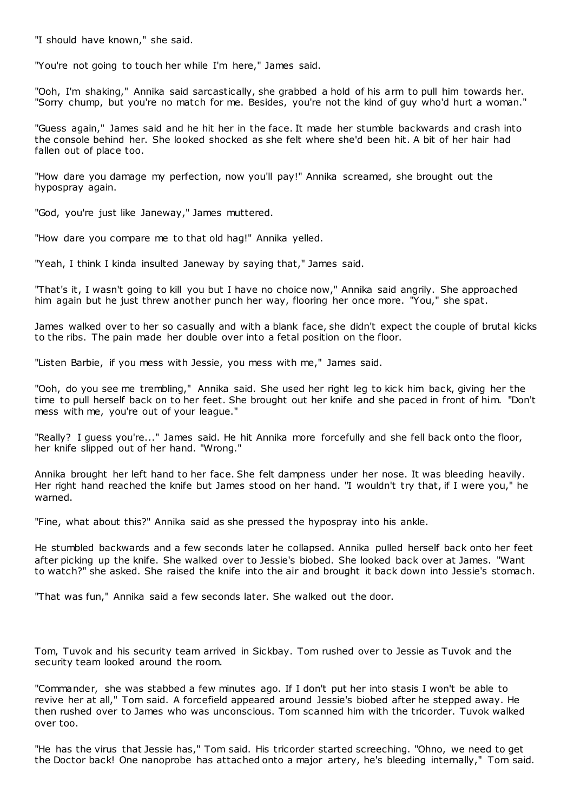"I should have known," she said.

"You're not going to touch her while I'm here," James said.

"Ooh, I'm shaking," Annika said sarcastically, she grabbed a hold of his arm to pull him towards her. "Sorry chump, but you're no match for me. Besides, you're not the kind of guy who'd hurt a woman."

"Guess again," James said and he hit her in the face. It made her stumble backwards and crash into the console behind her. She looked shocked as she felt where she'd been hit. A bit of her hair had fallen out of place too.

"How dare you damage my perfection, now you'll pay!" Annika screamed, she brought out the hypospray again.

"God, you're just like Janeway," James muttered.

"How dare you compare me to that old hag!" Annika yelled.

"Yeah, I think I kinda insulted Janeway by saying that," James said.

"That's it, I wasn't going to kill you but I have no choice now," Annika said angrily. She approached him again but he just threw another punch her way, flooring her once more. "You," she spat.

James walked over to her so casually and with a blank face, she didn't expect the couple of brutal kicks to the ribs. The pain made her double over into a fetal position on the floor.

"Listen Barbie, if you mess with Jessie, you mess with me," James said.

"Ooh, do you see me trembling," Annika said. She used her right leg to kick him back, giving her the time to pull herself back on to her feet. She brought out her knife and she paced in front of him. "Don't mess with me, you're out of your league."

"Really? I guess you're..." James said. He hit Annika more forcefully and she fell back onto the floor, her knife slipped out of her hand. "Wrong."

Annika brought her left hand to her face. She felt dampness under her nose. It was bleeding heavily. Her right hand reached the knife but James stood on her hand. "I wouldn't try that, if I were you," he warned.

"Fine, what about this?" Annika said as she pressed the hypospray into his ankle.

He stumbled backwards and a few seconds later he collapsed. Annika pulled herself back onto her feet after picking up the knife. She walked over to Jessie's biobed. She looked back over at James. "Want to watch?" she asked. She raised the knife into the air and brought it back down into Jessie's stomach.

"That was fun," Annika said a few seconds later. She walked out the door.

Tom, Tuvok and his security team arrived in Sickbay. Tom rushed over to Jessie as Tuvok and the security team looked around the room.

"Commander, she was stabbed a few minutes ago. If I don't put her into stasis I won't be able to revive her at all," Tom said. A forcefield appeared around Jessie's biobed after he stepped away. He then rushed over to James who was unconscious. Tom scanned him with the tricorder. Tuvok walked over too.

"He has the virus that Jessie has," Tom said. His tricorder started screeching. "Ohno, we need to get the Doctor back! One nanoprobe has attached onto a major artery, he's bleeding internally," Tom said.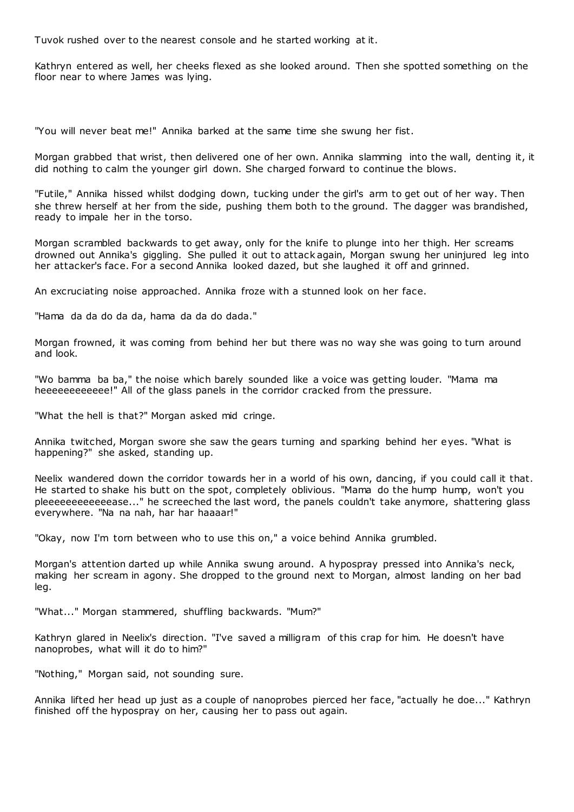Tuvok rushed over to the nearest console and he started working at it.

Kathryn entered as well, her cheeks flexed as she looked around. Then she spotted something on the floor near to where James was lying.

"You will never beat me!" Annika barked at the same time she swung her fist.

Morgan grabbed that wrist, then delivered one of her own. Annika slamming into the wall, denting it, it did nothing to calm the younger girl down. She charged forward to continue the blows.

"Futile," Annika hissed whilst dodging down, tucking under the girl's arm to get out of her way. Then she threw herself at her from the side, pushing them both to the ground. The dagger was brandished, ready to impale her in the torso.

Morgan scrambled backwards to get away, only for the knife to plunge into her thigh. Her screams drowned out Annika's giggling. She pulled it out to attack again, Morgan swung her uninjured leg into her attacker's face. For a second Annika looked dazed, but she laughed it off and grinned.

An excruciating noise approached. Annika froze with a stunned look on her face.

"Hama da da do da da, hama da da do dada."

Morgan frowned, it was coming from behind her but there was no way she was going to turn around and look.

"Wo bamma ba ba," the noise which barely sounded like a voice was getting louder. "Mama ma heeeeeeeeeeee!" All of the glass panels in the corridor cracked from the pressure.

"What the hell is that?" Morgan asked mid cringe.

Annika twitched, Morgan swore she saw the gears turning and sparking behind her eyes. "What is happening?" she asked, standing up.

Neelix wandered down the corridor towards her in a world of his own, dancing, if you could call it that. He started to shake his butt on the spot, completely oblivious. "Mama do the hump hump, won't you pleeeeeeeeeeeease..." he screeched the last word, the panels couldn't take anymore, shattering glass everywhere. "Na na nah, har har haaaar!"

"Okay, now I'm torn between who to use this on," a voice behind Annika grumbled.

Morgan's attention darted up while Annika swung around. A hypospray pressed into Annika's neck, making her scream in agony. She dropped to the ground next to Morgan, almost landing on her bad leg.

"What..." Morgan stammered, shuffling backwards. "Mum?"

Kathryn glared in Neelix's direction. "I've saved a milligram of this crap for him. He doesn't have nanoprobes, what will it do to him?"

"Nothing," Morgan said, not sounding sure.

Annika lifted her head up just as a couple of nanoprobes pierced her face, "actually he doe..." Kathryn finished off the hypospray on her, causing her to pass out again.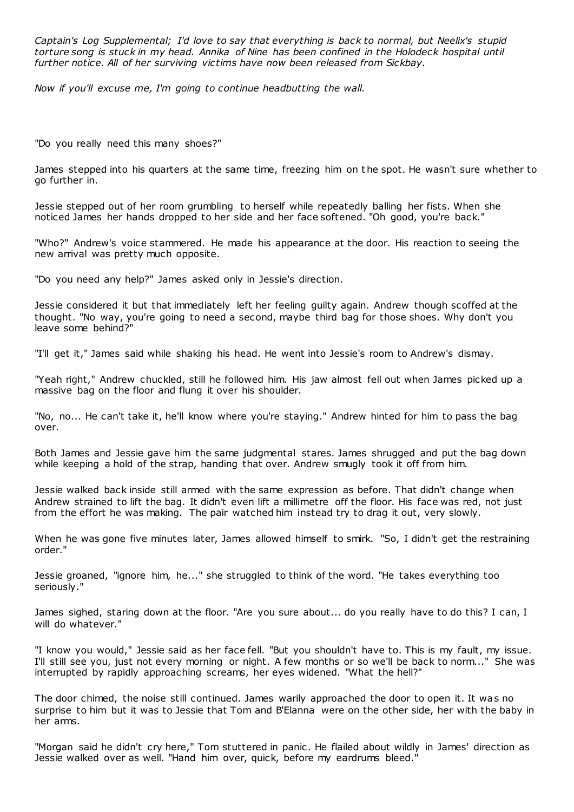*Captain's Log Supplemental; I'd love to say that everything is back to normal, but Neelix's stupid torture song is stuck in my head. Annika of Nine has been confined in the Holodeck hospital until further notice. All of her surviving victims have now been released from Sickbay.*

*Now if you'll excuse me, I'm going to continue headbutting the wall.*

"Do you really need this many shoes?"

James stepped into his quarters at the same time, freezing him on the spot. He wasn't sure whether to go further in.

Jessie stepped out of her room grumbling to herself while repeatedly balling her fists. When she noticed James her hands dropped to her side and her face softened. "Oh good, you're back."

"Who?" Andrew's voice stammered. He made his appearance at the door. His reaction to seeing the new arrival was pretty much opposite.

"Do you need any help?" James asked only in Jessie's direction.

Jessie considered it but that immediately left her feeling guilty again. Andrew though scoffed at the thought. "No way, you're going to need a second, maybe third bag for those shoes. Why don't you leave some behind?"

"I'll get it," James said while shaking his head. He went into Jessie's room to Andrew's dismay.

"Yeah right," Andrew chuckled, still he followed him. His jaw almost fell out when James picked up a massive bag on the floor and flung it over his shoulder.

"No, no... He can't take it, he'll know where you're staying." Andrew hinted for him to pass the bag over.

Both James and Jessie gave him the same judgmental stares. James shrugged and put the bag down while keeping a hold of the strap, handing that over. Andrew smugly took it off from him.

Jessie walked back inside still armed with the same expression as before. That didn't change when Andrew strained to lift the bag. It didn't even lift a millimetre off the floor. His face was red, not just from the effort he was making. The pair watched him instead try to drag it out, very slowly.

When he was gone five minutes later, James allowed himself to smirk. "So, I didn't get the restraining order."

Jessie groaned, "ignore him, he..." she struggled to think of the word. "He takes everything too seriously."

James sighed, staring down at the floor. "Are you sure about... do you really have to do this? I can, I will do whatever."

"I know you would," Jessie said as her face fell. "But you shouldn't have to. This is my fault, my issue. I'll still see you, just not every morning or night. A few months or so we'll be back to norm..." She was interrupted by rapidly approaching screams, her eyes widened. "What the hell?"

The door chimed, the noise still continued. James warily approached the door to open it. It was no surprise to him but it was to Jessie that Tom and B'Elanna were on the other side, her with the baby in her arms.

"Morgan said he didn't cry here," Tom stuttered in panic . He flailed about wildly in James' direction as Jessie walked over as well. "Hand him over, quick, before my eardrums bleed."